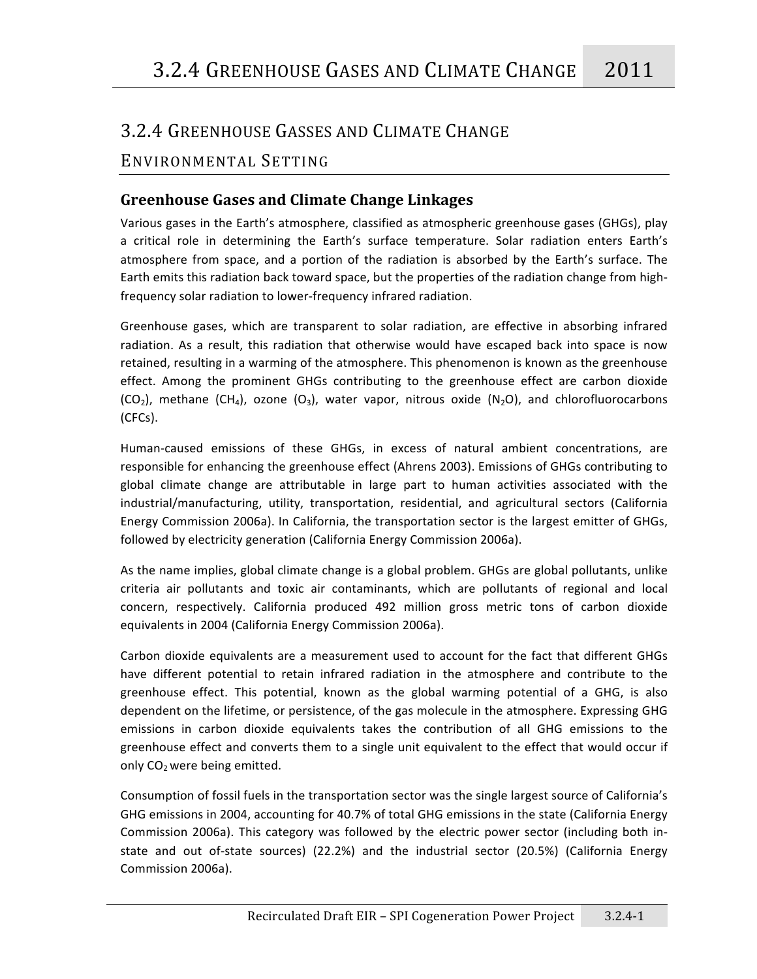# 3.2.4
GREENHOUSE
GASSES
AND
CLIMATE
CHANGE

# ENVIRONMENTAL SETTING

# **Greenhouse
Gases
and
Climate
Change
Linkages**

Various
gases
in
the
Earth's
atmosphere,
classified
as
atmospheric
greenhouse
gases
(GHGs),
play a critical role in determining the Earth's surface temperature. Solar radiation enters Earth's atmosphere from space, and a portion of the radiation is absorbed by the Earth's surface. The Earth emits this radiation back toward space, but the properties of the radiation change from highfrequency
solar
radiation
to
lower‐frequency
infrared
radiation.

Greenhouse gases, which are transparent to solar radiation, are effective in absorbing infrared radiation. As a result, this radiation that otherwise would have escaped back into space is now retained, resulting in a warming of the atmosphere. This phenomenon is known as the greenhouse effect. Among the prominent GHGs contributing to the greenhouse effect are carbon dioxide  $(CO_2)$ , methane  $(CH_4)$ , ozone  $(O_3)$ , water vapor, nitrous oxide  $(N_2O)$ , and chlorofluorocarbons (CFCs).

Human-caused emissions of these GHGs, in excess of natural ambient concentrations, are responsible
for
enhancing
the
greenhouse
effect
(Ahrens
2003).
Emissions
of
GHGs
contributing
to global climate change are attributable in large part to human activities associated with the industrial/manufacturing, utility, transportation, residential, and agricultural sectors (California Energy Commission 2006a). In California, the transportation sector is the largest emitter of GHGs, followed
by
electricity
generation
(California
Energy
Commission
2006a).

As the name implies, global climate change is a global problem. GHGs are global pollutants, unlike criteria air pollutants and toxic air contaminants, which are pollutants of regional and local concern,
 respectively.
 California
 produced
 492
 million
 gross
 metric
 tons
 of
 carbon
 dioxide equivalents
in
2004
(California
Energy
Commission
2006a).

Carbon
dioxide
equivalents
are
a
measurement
used
 to
account
 for
 the
 fact
 that
different
GHGs have different potential to retain infrared radiation in the atmosphere and contribute to the greenhouse effect. This potential, known as the global warming potential of a GHG, is also dependent on the lifetime, or persistence, of the gas molecule in the atmosphere. Expressing GHG emissions in carbon dioxide equivalents takes the contribution of all GHG emissions to the greenhouse effect and converts them to a single unit equivalent to the effect that would occur if only CO<sub>2</sub> were being emitted.

Consumption of fossil fuels in the transportation sector was the single largest source of California's GHG emissions in 2004, accounting for 40.7% of total GHG emissions in the state (California Energy Commission 2006a). This category was followed by the electric power sector (including both instate and out of-state sources) (22.2%) and the industrial sector (20.5%) (California Energy Commission
2006a).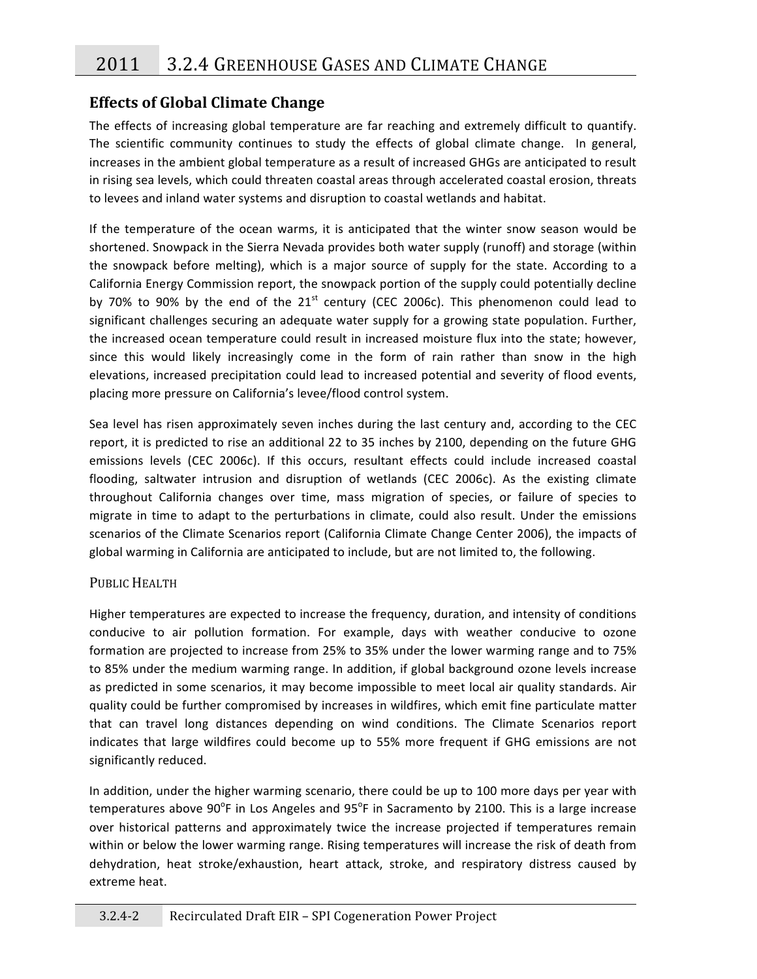# **Effects
of
Global
Climate
Change**

The effects of increasing global temperature are far reaching and extremely difficult to quantify. The scientific community continues to study the effects of global climate change. In general, increases in the ambient global temperature as a result of increased GHGs are anticipated to result in rising sea levels, which could threaten coastal areas through accelerated coastal erosion, threats to levees and inland water systems and disruption to coastal wetlands and habitat.

If the temperature of the ocean warms, it is anticipated that the winter snow season would be shortened. Snowpack in the Sierra Nevada provides both water supply (runoff) and storage (within the snowpack before melting), which is a major source of supply for the state. According to a California Energy Commission report, the snowpack portion of the supply could potentially decline by 70% to 90% by the end of the  $21<sup>st</sup>$  century (CEC 2006c). This phenomenon could lead to significant challenges securing an adequate water supply for a growing state population. Further, the increased ocean temperature could result in increased moisture flux into the state; however, since this would likely increasingly come in the form of rain rather than snow in the high elevations, increased precipitation could lead to increased potential and severity of flood events, placing
more
pressure
on
California's
levee/flood
control
system.

Sea level has risen approximately seven inches during the last century and, according to the CEC report, it is predicted to rise an additional 22 to 35 inches by 2100, depending on the future GHG emissions levels (CEC 2006c). If this occurs, resultant effects could include increased coastal flooding, saltwater intrusion and disruption of wetlands (CEC 2006c). As the existing climate throughout California changes over time, mass migration of species, or failure of species to migrate in time to adapt to the perturbations in climate, could also result. Under the emissions scenarios of the Climate Scenarios report (California Climate Change Center 2006), the impacts of global warming in California are anticipated to include, but are not limited to, the following.

### PUBLIC HEALTH

Higher temperatures are expected to increase the frequency, duration, and intensity of conditions conducive to air pollution formation. For example, days with weather conducive to ozone formation are projected to increase from 25% to 35% under the lower warming range and to 75% to 85% under the medium warming range. In addition, if global background ozone levels increase as predicted in some scenarios, it may become impossible to meet local air quality standards. Air quality
could
be
further
compromised
by
increases
in
wildfires,
which
emit
fine
particulate
matter that can travel long distances depending on wind conditions. The Climate Scenarios report indicates that large wildfires could become up to 55% more frequent if GHG emissions are not significantly
reduced.

In addition, under the higher warming scenario, there could be up to 100 more days per year with temperatures above 90°F in Los Angeles and 95°F in Sacramento by 2100. This is a large increase over historical patterns and approximately twice the increase projected if temperatures remain within or below the lower warming range. Rising temperatures will increase the risk of death from dehydration, heat stroke/exhaustion, heart attack, stroke, and respiratory distress caused by extreme
heat.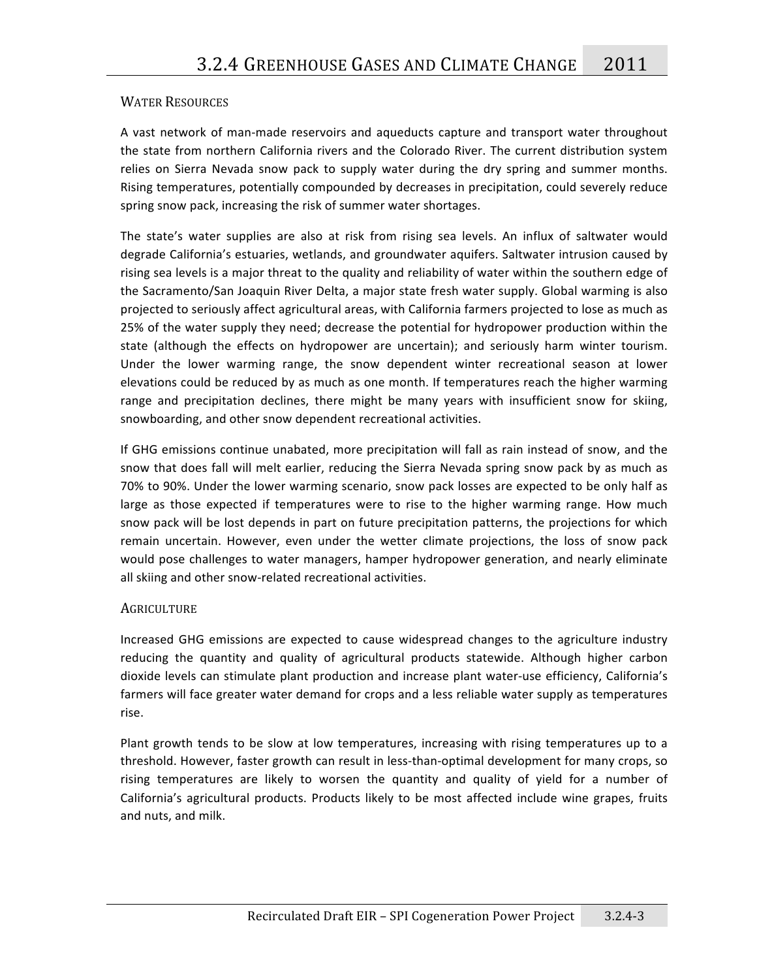### WATER
RESOURCES

A vast network of man-made reservoirs and aqueducts capture and transport water throughout the state from northern California rivers and the Colorado River. The current distribution system relies on Sierra Nevada snow pack to supply water during the dry spring and summer months. Rising temperatures, potentially compounded by decreases in precipitation, could severely reduce spring snow pack, increasing the risk of summer water shortages.

The state's water supplies are also at risk from rising sea levels. An influx of saltwater would degrade California's estuaries, wetlands, and groundwater aquifers. Saltwater intrusion caused by rising sea levels is a major threat to the quality and reliability of water within the southern edge of the Sacramento/San Joaquin River Delta, a major state fresh water supply. Global warming is also projected to seriously affect agricultural areas, with California farmers projected to lose as much as 25% of the water supply they need; decrease the potential for hydropower production within the state (although the effects on hydropower are uncertain); and seriously harm winter tourism. Under the lower warming range, the snow dependent winter recreational season at lower elevations
could
be
reduced
by
as
much
as
one
month.
If
temperatures
reach
the
higher
warming range and precipitation declines, there might be many years with insufficient snow for skiing, snowboarding,
and
other
snow
dependent
recreational
activities.

If GHG emissions continue unabated, more precipitation will fall as rain instead of snow, and the snow that does fall will melt earlier, reducing the Sierra Nevada spring snow pack by as much as 70%
to
90%.
Under
the
lower
warming
scenario,
snow
pack
losses
are
expected
to
be
only
half
as large as those expected if temperatures were to rise to the higher warming range. How much snow pack will be lost depends in part on future precipitation patterns, the projections for which remain uncertain. However, even under the wetter climate projections, the loss of snow pack would pose challenges to water managers, hamper hydropower generation, and nearly eliminate all
skiing
and
other
snow‐related
recreational
activities.

### **AGRICULTURE**

Increased GHG emissions are expected to cause widespread changes to the agriculture industry reducing the quantity and quality of agricultural products statewide. Although higher carbon dioxide levels can stimulate plant production and increase plant water-use efficiency, California's farmers will face greater water demand for crops and a less reliable water supply as temperatures rise.

Plant growth tends to be slow at low temperatures, increasing with rising temperatures up to a threshold. However, faster growth can result in less-than-optimal development for many crops, so rising temperatures are likely to worsen the quantity and quality of yield for a number of California's agricultural products. Products likely to be most affected include wine grapes, fruits and
nuts,
and
milk.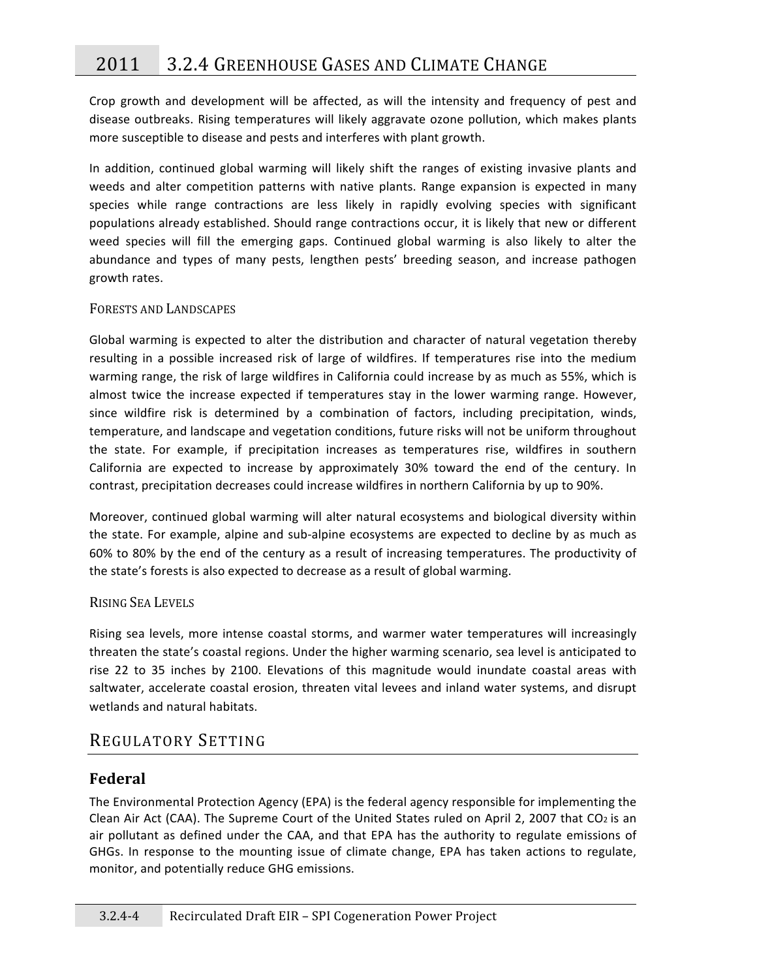Crop growth and development will be affected, as will the intensity and frequency of pest and disease outbreaks. Rising temperatures will likely aggravate ozone pollution, which makes plants more
susceptible
to
disease
and
pests
and
interferes
with
plant
growth.

In addition, continued global warming will likely shift the ranges of existing invasive plants and weeds and alter competition patterns with native plants. Range expansion is expected in many species while range contractions are less likely in rapidly evolving species with significant populations
already
established.
Should
range
contractions
occur,
it
is
likely
that
new
or
different weed species will fill the emerging gaps. Continued global warming is also likely to alter the abundance and types of many pests, lengthen pests' breeding season, and increase pathogen growth
rates.

### FORESTS
AND
LANDSCAPES

Global warming is expected to alter the distribution and character of natural vegetation thereby resulting in a possible increased risk of large of wildfires. If temperatures rise into the medium warming range, the risk of large wildfires in California could increase by as much as 55%, which is almost twice the increase expected if temperatures stay in the lower warming range. However, since wildfire risk is determined by a combination of factors, including precipitation, winds, temperature, and landscape and vegetation conditions, future risks will not be uniform throughout the state. For example, if precipitation increases as temperatures rise, wildfires in southern California are expected to increase by approximately 30% toward the end of the century. In contrast, precipitation decreases could increase wildfires in northern California by up to 90%.

Moreover, continued global warming will alter natural ecosystems and biological diversity within the state. For example, alpine and sub-alpine ecosystems are expected to decline by as much as 60%
to
80%
by
the
end
of
the
century
as
a
result
of
increasing
temperatures.
The
productivity
of the
state's
forests
is
also
expected
to
decrease
as
a
result
of
global
warming.

### RISING
SEA
LEVELS

Rising
 sea
levels,
more
intense
 coastal
 storms,
and
warmer
water
 temperatures
will
increasingly threaten the state's coastal regions. Under the higher warming scenario, sea level is anticipated to rise 22 to 35 inches by 2100. Elevations of this magnitude would inundate coastal areas with saltwater, accelerate coastal erosion, threaten vital levees and inland water systems, and disrupt wetlands
and
natural
habitats.

# REGULATORY SETTING

### **Federal**

The Environmental Protection Agency (EPA) is the federal agency responsible for implementing the Clean Air Act (CAA). The Supreme Court of the United States ruled on April 2, 2007 that CO2 is an air pollutant as defined under the CAA, and that EPA has the authority to regulate emissions of GHGs. In response to the mounting issue of climate change, EPA has taken actions to regulate, monitor,
and
potentially
reduce
GHG
emissions.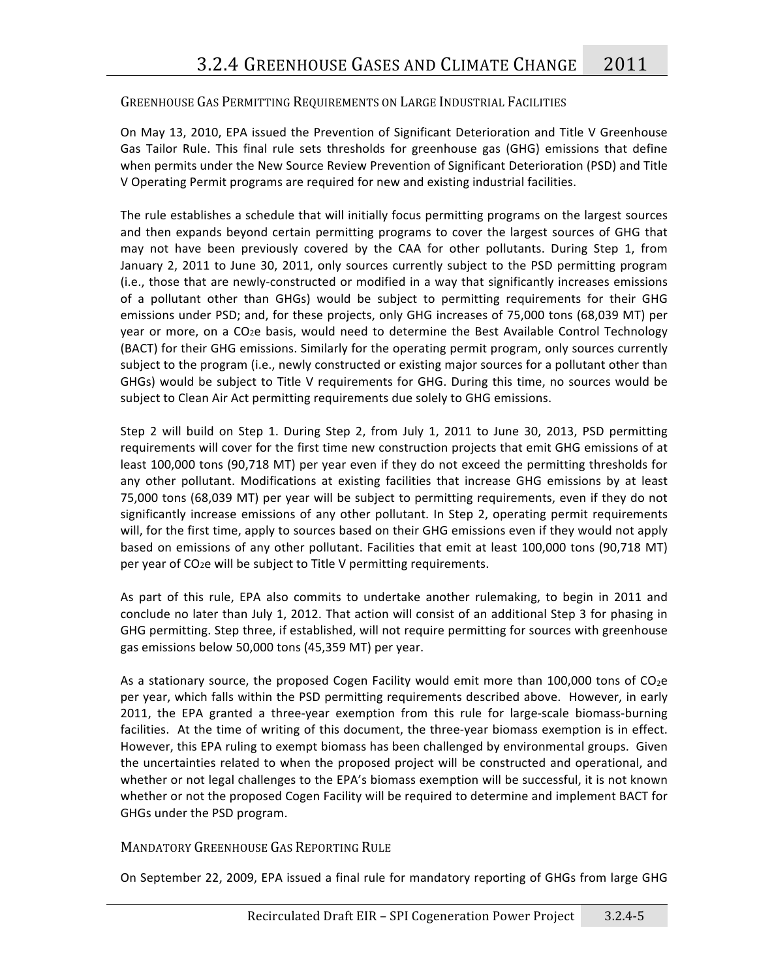### GREENHOUSE GAS PERMITTING REQUIREMENTS ON LARGE INDUSTRIAL FACILITIES

On May 13, 2010, EPA issued the Prevention of Significant Deterioration and Title V Greenhouse Gas Tailor Rule. This final rule sets thresholds for greenhouse gas (GHG) emissions that define when permits under the New Source Review Prevention of Significant Deterioration (PSD) and Title V Operating Permit programs are required for new and existing industrial facilities.

The
rule
establishes
a
schedule
that
will
initially
focus
permitting
programs
on
the
largest
sources and then expands beyond certain permitting programs to cover the largest sources of GHG that may not have been previously covered by the CAA for other pollutants. During Step 1, from January 2, 2011 to June 30, 2011, only sources currently subject to the PSD permitting program (i.e.,
 those
 that
are
newly‐constructed
or
modified
in
a
way
 that
significantly
increases
emissions of a pollutant other than GHGs) would be subject to permitting requirements for their GHG emissions under PSD; and, for these projects, only GHG increases of 75,000 tons (68,039 MT) per year or more, on a CO<sub>2</sub>e basis, would need to determine the Best Available Control Technology (BACT)
for
their
GHG
emissions.
Similarly
for
the
operating
permit
program,
only
sources
currently subject to the program (i.e., newly constructed or existing major sources for a pollutant other than GHGs) would be subject to Title V requirements for GHG. During this time, no sources would be subject to Clean Air Act permitting requirements due solely to GHG emissions.

Step 2 will build on Step 1. During Step 2, from July 1, 2011 to June 30, 2013, PSD permitting requirements will cover for the first time new construction projects that emit GHG emissions of at least 100,000 tons (90,718 MT) per year even if they do not exceed the permitting thresholds for any other pollutant. Modifications at existing facilities that increase GHG emissions by at least 75,000 tons (68,039 MT) per year will be subject to permitting requirements, even if they do not significantly increase emissions of any other pollutant. In Step 2, operating permit requirements will, for the first time, apply to sources based on their GHG emissions even if they would not apply based on emissions of any other pollutant. Facilities that emit at least 100,000 tons (90,718 MT) per
year
of
CO2e
will
be
subject
to
Title
V
permitting
requirements.

As part of this rule, EPA also commits to undertake another rulemaking, to begin in 2011 and conclude no later than July 1, 2012. That action will consist of an additional Step 3 for phasing in GHG permitting. Step three, if established, will not require permitting for sources with greenhouse gas
emissions
below
50,000
tons
(45,359
MT)
per
year.

As a stationary source, the proposed Cogen Facility would emit more than 100,000 tons of  $CO<sub>2</sub>e$ per year, which falls within the PSD permitting requirements described above. However, in early 2011, the EPA granted a three-year exemption from this rule for large-scale biomass-burning facilities. At the time of writing of this document, the three-year biomass exemption is in effect. However, this EPA ruling to exempt biomass has been challenged by environmental groups. Given the uncertainties related to when the proposed project will be constructed and operational, and whether or not legal challenges to the EPA's biomass exemption will be successful, it is not known whether or not the proposed Cogen Facility will be required to determine and implement BACT for GHGs
under
the
PSD
program.

### MANDATORY GREENHOUSE GAS REPORTING RULE

On September 22, 2009, EPA issued a final rule for mandatory reporting of GHGs from large GHG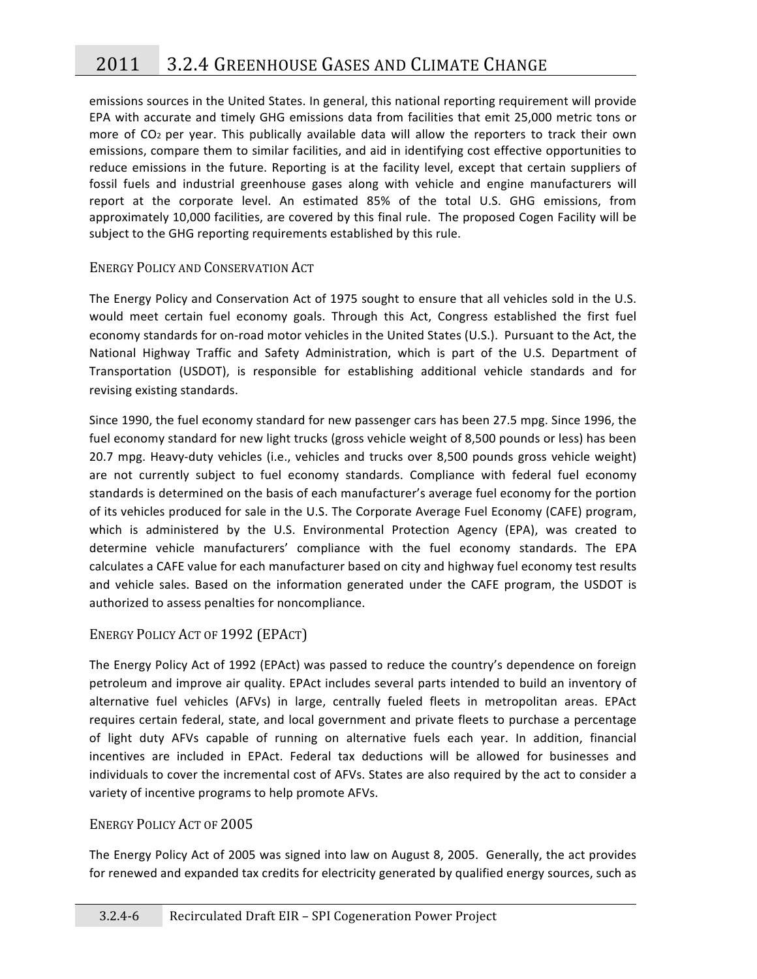emissions sources in the United States. In general, this national reporting requirement will provide EPA with accurate and timely GHG emissions data from facilities that emit 25,000 metric tons or more of CO<sub>2</sub> per year. This publically available data will allow the reporters to track their own emissions, compare them to similar facilities, and aid in identifying cost effective opportunities to reduce emissions in the future. Reporting is at the facility level, except that certain suppliers of fossil fuels and industrial greenhouse gases along with vehicle and engine manufacturers will report at the corporate level. An estimated 85% of the total U.S. GHG emissions, from approximately 10,000 facilities, are covered by this final rule. The proposed Cogen Facility will be subject to the GHG reporting requirements established by this rule.

### ENERGY POLICY AND CONSERVATION ACT

The Energy Policy and Conservation Act of 1975 sought to ensure that all vehicles sold in the U.S. would meet certain fuel economy goals. Through this Act, Congress established the first fuel economy standards for on-road motor vehicles in the United States (U.S.). Pursuant to the Act, the National Highway Traffic and Safety Administration, which is part of the U.S. Department of Transportation (USDOT), is responsible for establishing additional vehicle standards and for revising
existing
standards.

Since 1990, the fuel economy standard for new passenger cars has been 27.5 mpg. Since 1996, the fuel economy standard for new light trucks (gross vehicle weight of 8,500 pounds or less) has been 20.7 mpg. Heavy-duty vehicles (i.e., vehicles and trucks over 8,500 pounds gross vehicle weight) are not currently subject to fuel economy standards. Compliance with federal fuel economy standards
is
determined
on
the
basis
of
each
manufacturer's
average
fuel
economy
for
the
portion of its vehicles produced for sale in the U.S. The Corporate Average Fuel Economy (CAFE) program, which is administered by the U.S. Environmental Protection Agency (EPA), was created to determine vehicle manufacturers' compliance with the fuel economy standards. The EPA calculates a CAFE value for each manufacturer based on city and highway fuel economy test results and vehicle sales. Based on the information generated under the CAFE program, the USDOT is authorized to assess penalties for noncompliance.

### ENERGY POLICY ACT OF 1992 (EPACT)

The Energy Policy Act of 1992 (EPAct) was passed to reduce the country's dependence on foreign petroleum and improve air quality. EPAct includes several parts intended to build an inventory of alternative fuel vehicles (AFVs) in large, centrally fueled fleets in metropolitan areas. EPAct requires certain federal, state, and local government and private fleets to purchase a percentage of light duty AFVs capable of running on alternative fuels each year. In addition, financial incentives are included in EPAct. Federal tax deductions will be allowed for businesses and individuals to cover the incremental cost of AFVs. States are also required by the act to consider a variety
of
incentive
programs
to
help
promote
AFVs.

### ENERGY
POLICY
ACT
OF
2005

The Energy Policy Act of 2005 was signed into law on August 8, 2005. Generally, the act provides for renewed and expanded tax credits for electricity generated by qualified energy sources, such as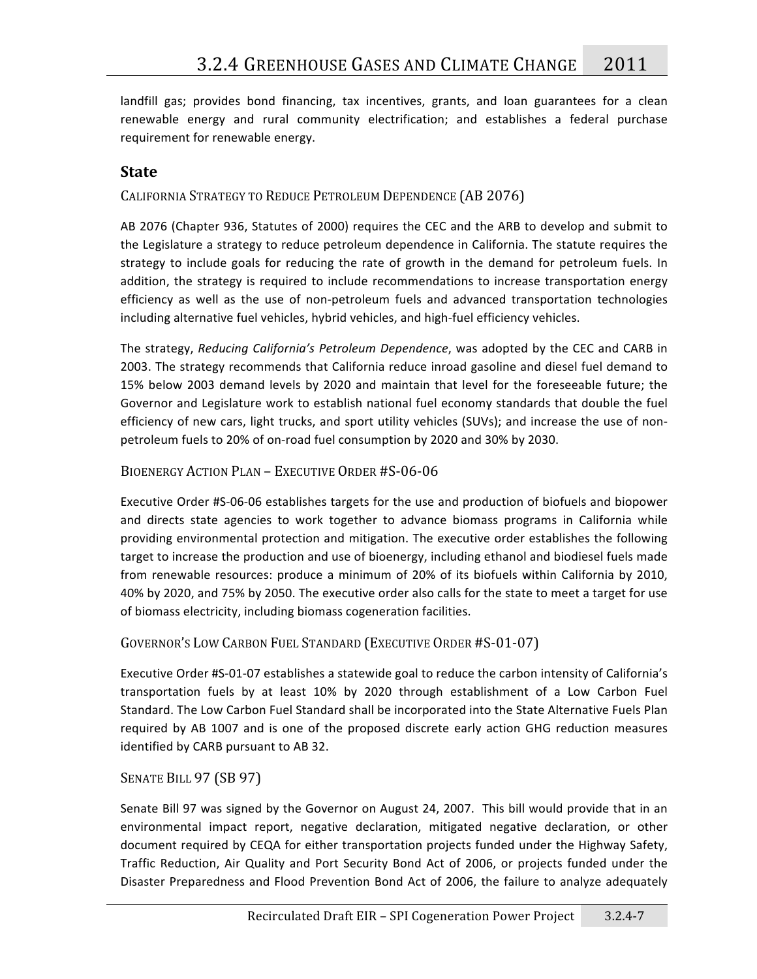landfill gas; provides bond financing, tax incentives, grants, and loan guarantees for a clean renewable energy and rural community electrification; and establishes a federal purchase requirement
for
renewable
energy.

# **State**

CALIFORNIA STRATEGY TO REDUCE PETROLEUM DEPENDENCE (AB 2076)

AB 2076 (Chapter 936, Statutes of 2000) requires the CEC and the ARB to develop and submit to the Legislature a strategy to reduce petroleum dependence in California. The statute requires the strategy to include goals for reducing the rate of growth in the demand for petroleum fuels. In addition, the strategy is required to include recommendations to increase transportation energy efficiency as well as the use of non-petroleum fuels and advanced transportation technologies including alternative fuel vehicles, hybrid vehicles, and high-fuel efficiency vehicles.

The
strategy, *Reducing
California's
Petroleum
Dependence*,
was
adopted
by
 the
CEC
and
CARB
in 2003. The strategy recommends that California reduce inroad gasoline and diesel fuel demand to 15% below 2003 demand levels by 2020 and maintain that level for the foreseeable future; the Governor and Legislature work to establish national fuel economy standards that double the fuel efficiency of new cars, light trucks, and sport utility vehicles (SUVs); and increase the use of nonpetroleum
fuels
to
20%
of
on‐road
fuel
consumption
by
2020
and
30%
by
2030.

### BIOENERGY ACTION PLAN - EXECUTIVE ORDER #S-06-06

Executive Order #S-06-06 establishes targets for the use and production of biofuels and biopower and directs state agencies to work together to advance biomass programs in California while providing
environmental
protection
and
mitigation.
The
executive
order
establishes
the
 following target to increase the production and use of bioenergy, including ethanol and biodiesel fuels made from renewable resources: produce a minimum of 20% of its biofuels within California by 2010, 40% by 2020, and 75% by 2050. The executive order also calls for the state to meet a target for use of
biomass
electricity,
including
biomass
cogeneration
facilities.

### GOVERNOR'S
LOW
CARBON
FUEL
STANDARD
(EXECUTIVE
ORDER
#S‐01‐07)

Executive Order #S-01-07 establishes a statewide goal to reduce the carbon intensity of California's transportation fuels by at least 10% by 2020 through establishment of a Low Carbon Fuel Standard. The Low Carbon Fuel Standard shall be incorporated into the State Alternative Fuels Plan required by AB 1007 and is one of the proposed discrete early action GHG reduction measures identified
by
CARB
pursuant
to
AB
32.

### SENATE BILL 97 (SB 97)

Senate Bill 97 was signed by the Governor on August 24, 2007. This bill would provide that in an environmental impact report, negative declaration, mitigated negative declaration, or other document
required
by
CEQA
 for
either
transportation
projects
 funded
under
the
Highway
Safety, Traffic Reduction, Air Quality and Port Security Bond Act of 2006, or projects funded under the Disaster Preparedness and Flood Prevention Bond Act of 2006, the failure to analyze adequately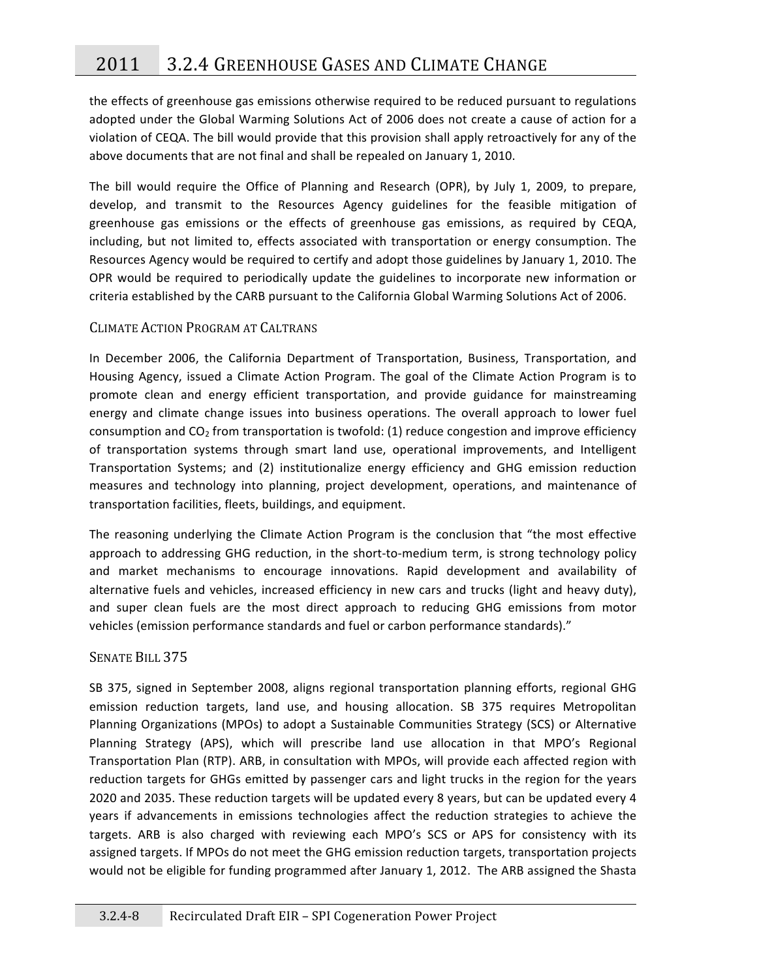the
effects
of
greenhouse
gas
emissions
otherwise
required
to
be
reduced
pursuant
to
regulations adopted under the Global Warming Solutions Act of 2006 does not create a cause of action for a violation of CEQA. The bill would provide that this provision shall apply retroactively for any of the above
documents
that
are
not
final
and
shall
be
repealed
on
January
1,
2010.

The bill would require the Office of Planning and Research (OPR), by July 1, 2009, to prepare, develop, and transmit to the Resources Agency guidelines for the feasible mitigation of greenhouse gas emissions or the effects of greenhouse gas emissions, as required by CEQA, including, but not limited to, effects associated with transportation or energy consumption. The Resources Agency would be required to certify and adopt those guidelines by January 1, 2010. The OPR would be required to periodically update the guidelines to incorporate new information or criteria
established
by
the
CARB
pursuant
to
the
California
Global
Warming
Solutions
Act
of
2006.

### CLIMATE
ACTION
PROGRAM
AT
CALTRANS

In December 2006, the California Department of Transportation, Business, Transportation, and Housing Agency, issued a Climate Action Program. The goal of the Climate Action Program is to promote clean and energy efficient transportation, and provide guidance for mainstreaming energy and climate change issues into business operations. The overall approach to lower fuel consumption and  $CO<sub>2</sub>$  from transportation is twofold: (1) reduce congestion and improve efficiency of transportation systems through smart land use, operational improvements, and Intelligent Transportation Systems; and (2) institutionalize energy efficiency and GHG emission reduction measures and technology into planning, project development, operations, and maintenance of transportation
facilities,
fleets,
buildings,
and
equipment.

The reasoning underlying the Climate Action Program is the conclusion that "the most effective approach to addressing GHG reduction, in the short-to-medium term, is strong technology policy and market mechanisms to encourage innovations. Rapid development and availability of alternative fuels and vehicles, increased efficiency in new cars and trucks (light and heavy duty), and super clean fuels are the most direct approach to reducing GHG emissions from motor vehicles (emission performance standards and fuel or carbon performance standards)."

### SENATE BILL 375

SB 375, signed in September 2008, aligns regional transportation planning efforts, regional GHG emission reduction targets, land use, and housing allocation. SB 375 requires Metropolitan Planning Organizations (MPOs) to adopt a Sustainable Communities Strategy (SCS) or Alternative Planning Strategy (APS), which will prescribe land use allocation in that MPO's Regional Transportation Plan (RTP). ARB, in consultation with MPOs, will provide each affected region with reduction targets for GHGs emitted by passenger cars and light trucks in the region for the years 2020 and 2035. These reduction targets will be updated every 8 years, but can be updated every 4 years if advancements in emissions technologies affect the reduction strategies to achieve the targets. ARB is also charged with reviewing each MPO's SCS or APS for consistency with its assigned
targets.
If
MPOs
do
not
meet
the
GHG
emission
reduction
targets,
transportation
projects would not be eligible for funding programmed after January 1, 2012. The ARB assigned the Shasta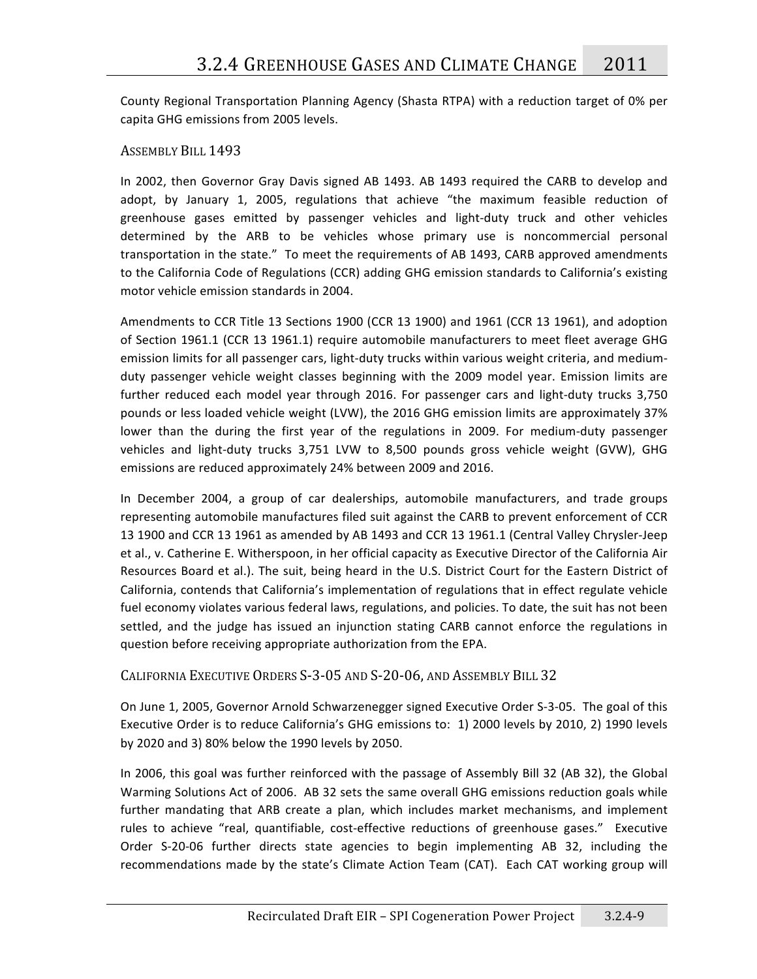County Regional Transportation Planning Agency (Shasta RTPA) with a reduction target of 0% per capita
GHG
emissions
from
2005
levels.

### ASSEMBLY
BILL
1493

In 2002, then Governor Gray Davis signed AB 1493. AB 1493 required the CARB to develop and adopt, by January 1, 2005, regulations that achieve "the maximum feasible reduction of greenhouse gases emitted by passenger vehicles and light-duty truck and other vehicles determined by the ARB to be vehicles whose primary use is noncommercial personal transportation
in
the
state."

To
meet
the
requirements
of
AB
1493,
CARB
approved
amendments to the California Code of Regulations (CCR) adding GHG emission standards to California's existing motor
vehicle
emission
standards
in
2004.

Amendments to CCR Title 13 Sections 1900 (CCR 13 1900) and 1961 (CCR 13 1961), and adoption of Section 1961.1 (CCR 13 1961.1) require automobile manufacturers to meet fleet average GHG emission limits for all passenger cars, light-duty trucks within various weight criteria, and mediumduty passenger vehicle weight classes beginning with the 2009 model year. Emission limits are further reduced each model year through 2016. For passenger cars and light-duty trucks 3,750 pounds
or
less
loaded
vehicle
weight
(LVW),
the
2016
GHG
emission
limits
are
approximately
37% lower than the during the first year of the regulations in 2009. For medium-duty passenger vehicles and light-duty trucks 3,751 LVW to 8,500 pounds gross vehicle weight (GVW), GHG emissions are reduced approximately 24% between 2009 and 2016.

In December 2004, a group of car dealerships, automobile manufacturers, and trade groups representing automobile manufactures filed suit against the CARB to prevent enforcement of CCR 13 1900 and CCR 13 1961 as amended by AB 1493 and CCR 13 1961.1 (Central Valley Chrysler-Jeep et al., v. Catherine E. Witherspoon, in her official capacity as Executive Director of the California Air Resources Board et al.). The suit, being heard in the U.S. District Court for the Eastern District of California, contends that California's implementation of regulations that in effect regulate vehicle fuel economy violates various federal laws, regulations, and policies. To date, the suit has not been settled, and the judge has issued an injunction stating CARB cannot enforce the regulations in question before receiving appropriate authorization from the EPA.

### CALIFORNIA EXECUTIVE ORDERS S-3-05 AND S-20-06, AND ASSEMBLY BILL 32

On June 1, 2005, Governor Arnold Schwarzenegger signed Executive Order S-3-05. The goal of this Executive Order is to reduce California's GHG emissions to: 1) 2000 levels by 2010, 2) 1990 levels by
2020
and
3)
80%
below
the
1990
levels
by
2050.

In 2006, this goal was further reinforced with the passage of Assembly Bill 32 (AB 32), the Global Warming Solutions Act of 2006. AB 32 sets the same overall GHG emissions reduction goals while further mandating that ARB create a plan, which includes market mechanisms, and implement rules to achieve "real, quantifiable, cost-effective reductions of greenhouse gases." Executive Order S-20-06 further directs state agencies to begin implementing AB 32, including the recommendations made by the state's Climate Action Team (CAT). Each CAT working group will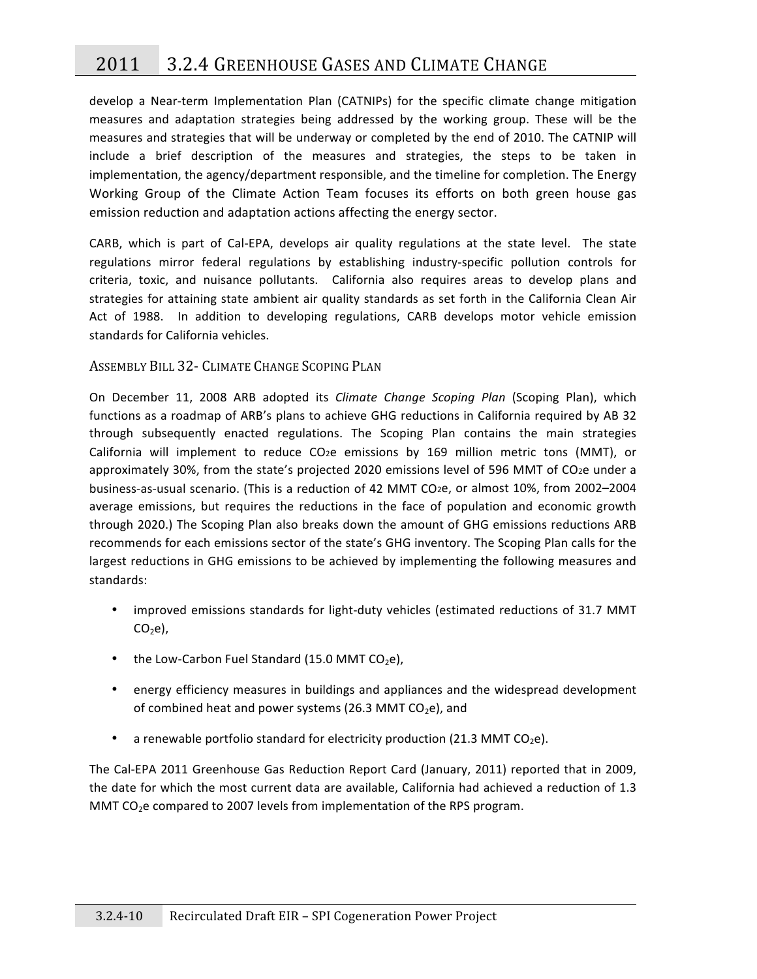# 2011 3.2.4
GREENHOUSE
GASES
AND
CLIMATE
CHANGE

develop a Near-term Implementation Plan (CATNIPs) for the specific climate change mitigation measures and adaptation strategies being addressed by the working group. These will be the measures
and
strategies
that
will
be
underway
or
completed
by
the
end
of
2010.
The
CATNIP
will include a brief description of the measures and strategies, the steps to be taken in implementation, the agency/department responsible, and the timeline for completion. The Energy Working Group of the Climate Action Team focuses its efforts on both green house gas emission reduction and adaptation actions affecting the energy sector.

CARB, which is part of Cal-EPA, develops air quality regulations at the state level. The state regulations mirror federal regulations by establishing industry-specific pollution controls for criteria, toxic, and nuisance pollutants. California also requires areas to develop plans and strategies for attaining state ambient air quality standards as set forth in the California Clean Air Act of 1988. In addition to developing regulations, CARB develops motor vehicle emission standards
for
California
vehicles.

### ASSEMBLY BILL 32 - CLIMATE CHANGE SCOPING PLAN

On December 11, 2008 ARB adopted its *Climate Change Scoping Plan* (Scoping Plan), which functions as a roadmap of ARB's plans to achieve GHG reductions in California required by AB 32 through
 subsequently
 enacted
 regulations.
 The
 Scoping
 Plan
 contains
 the
 main
 strategies California will implement to reduce CO<sub>2</sub>e emissions by 169 million metric tons (MMT), or approximately 30%, from the state's projected 2020 emissions level of 596 MMT of CO2e under a business-as-usual scenario. (This is a reduction of 42 MMT CO<sub>2</sub>e, or almost 10%, from 2002–2004 average emissions, but requires the reductions in the face of population and economic growth through 2020.) The Scoping Plan also breaks down the amount of GHG emissions reductions ARB recommends for each emissions sector of the state's GHG inventory. The Scoping Plan calls for the largest reductions in GHG emissions to be achieved by implementing the following measures and standards:

- improved emissions standards for light-duty vehicles (estimated reductions of 31.7 MMT  $CO<sub>2</sub>e$ ),
- the Low-Carbon Fuel Standard (15.0 MMT  $CO<sub>2</sub>e$ ),
- energy efficiency measures in buildings and appliances and the widespread development of combined heat and power systems (26.3 MMT CO<sub>2</sub>e), and
- a renewable portfolio standard for electricity production (21.3 MMT  $CO<sub>2</sub>e$ ).

The
Cal‐EPA
2011
Greenhouse
Gas
Reduction
Report
Card
 (January,
2011)
reported
 that
in
2009, the date for which the most current data are available, California had achieved a reduction of 1.3 MMT  $CO<sub>2</sub>e$  compared to 2007 levels from implementation of the RPS program.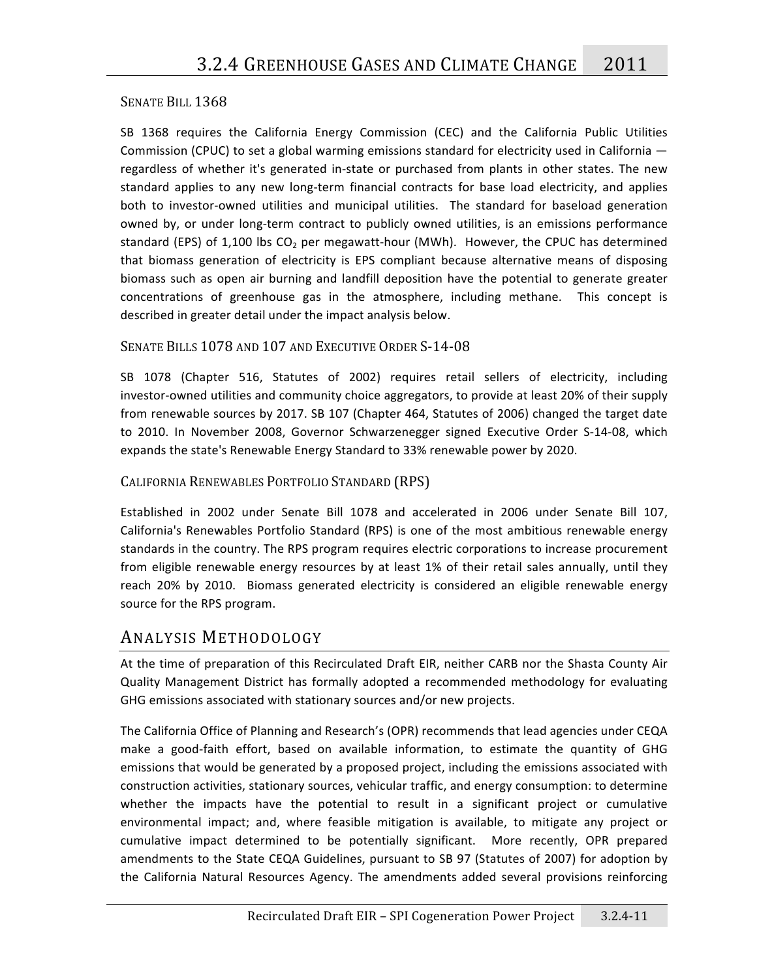### SENATE BILL 1368

SB 1368 requires the California Energy Commission (CEC) and the California Public Utilities Commission (CPUC) to set a global warming emissions standard for electricity used in California regardless of whether it's generated in-state or purchased from plants in other states. The new standard applies to any new long-term financial contracts for base load electricity, and applies both to investor-owned utilities and municipal utilities. The standard for baseload generation owned by, or under long-term contract to publicly owned utilities, is an emissions performance standard (EPS) of 1,100 lbs CO<sub>2</sub> per megawatt-hour (MWh). However, the CPUC has determined that biomass generation of electricity is EPS compliant because alternative means of disposing biomass such as open air burning and landfill deposition have the potential to generate greater concentrations of greenhouse gas in the atmosphere, including methane. This concept is described in greater detail under the impact analysis below.

### SENATE BILLS 1078 AND 107 AND EXECUTIVE ORDER S-14-08

SB 1078 (Chapter 516, Statutes of 2002) requires retail sellers of electricity, including investor-owned utilities and community choice aggregators, to provide at least 20% of their supply from renewable sources by 2017. SB 107 (Chapter 464, Statutes of 2006) changed the target date to 2010. In November 2008, Governor Schwarzenegger signed Executive Order S-14-08, which expands
the
state's
Renewable
Energy
Standard
to
33%
renewable
power
by
2020.

### CALIFORNIA
RENEWABLES
PORTFOLIO
STANDARD
(RPS)

Established in 2002 under Senate Bill 1078 and accelerated in 2006 under Senate Bill 107, California's Renewables Portfolio Standard (RPS) is one of the most ambitious renewable energy standards in the country. The RPS program requires electric corporations to increase procurement from eligible renewable energy resources by at least 1% of their retail sales annually, until they reach 20% by 2010. Biomass generated electricity is considered an eligible renewable energy source
for
the
RPS
program.

### ANALYSIS METHODOLOGY

At the time of preparation of this Recirculated Draft EIR, neither CARB nor the Shasta County Air Quality Management District has formally adopted a recommended methodology for evaluating GHG
emissions
associated
with
stationary
sources
and/or
new
projects.

The
California
Office
of
Planning
and
Research's
(OPR)
recommends
that
lead
agencies
under
CEQA make a good-faith effort, based on available information, to estimate the quantity of GHG emissions that would be generated by a proposed project, including the emissions associated with construction
activities,
stationary
sources,
vehicular
traffic,
and
energy
consumption:
to
determine whether the impacts have the potential to result in a significant project or cumulative environmental impact; and, where feasible mitigation is available, to mitigate any project or cumulative impact determined to be potentially significant. More recently, OPR prepared amendments to the State CEQA Guidelines, pursuant to SB 97 (Statutes of 2007) for adoption by the
 California
 Natural
 Resources
 Agency.
 The
 amendments
 added
 several
 provisions
 reinforcing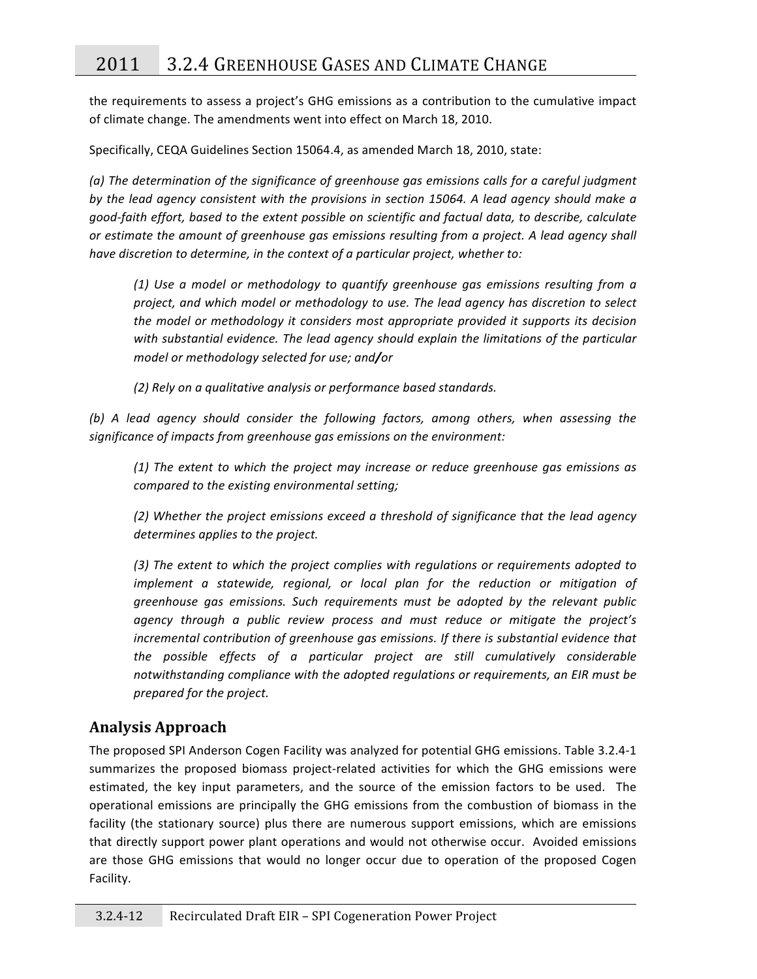the requirements to assess a project's GHG emissions as a contribution to the cumulative impact of
climate
change.
The
amendments
went
into
effect
on
March
18,
2010.

Specifically, CEQA Guidelines Section 15064.4, as amended March 18, 2010, state:

(a) The determination of the significance of greenhouse gas emissions calls for a careful judgment by the lead agency consistent with the provisions in section 15064. A lead agency should make a good-faith effort, based to the extent possible on scientific and factual data, to describe, calculate or estimate the amount of greenhouse gas emissions resulting from a project. A lead agency shall have discretion to determine, in the context of a particular project, whether to:

*(1)
 Use
 a
 model
 or
 methodology
 to
 quantify
 greenhouse
 gas
 emissions
 resulting
 from
 a*  project, and which model or methodology to use. The lead agency has discretion to select the model or methodology it considers most appropriate provided it supports its decision with substantial evidence. The lead agency should explain the limitations of the particular *model
or
methodology
selected
for
use;
and/or*

*(2)
Rely
on
a
qualitative
analysis
or
performance
based
standards.* 

(b) A lead agency should consider the following factors, among others, when assessing the significance of impacts from greenhouse gas emissions on the environment:

*(1)
The
extent
 to
which
 the
 project
may
 increase
 or
 reduce
 greenhouse
 gas
emissions
 as compared
to
the
existing
environmental
setting;* 

*(2)
Whether
the
project
emissions
exceed
a
threshold
of
significance
that
the
lead
agency*  determines applies to the project.

(3) The extent to which the project complies with regulations or requirements adopted to implement a statewide, regional, or local plan for the reduction or mitigation of greenhouse gas emissions. Such requirements must be adopted by the relevant public agency through a public review process and must reduce or mitigate the project's incremental contribution of greenhouse gas emissions. If there is substantial evidence that the possible effects of a particular project are still cumulatively considerable notwithstanding compliance with the adopted regulations or requirements, an EIR must be *prepared
for
the
project.* 

# **Analysis
Approach**

The proposed SPI Anderson Cogen Facility was analyzed for potential GHG emissions. Table 3.2.4-1 summarizes the proposed biomass project-related activities for which the GHG emissions were estimated, the key input parameters, and the source of the emission factors to be used. The operational
emissions
are
 principally
 the
GHG
emissions
 from
 the
 combustion
 of
 biomass
 in
 the facility (the stationary source) plus there are numerous support emissions, which are emissions that directly support power plant operations and would not otherwise occur. Avoided emissions are those GHG emissions that would no longer occur due to operation of the proposed Cogen Facility.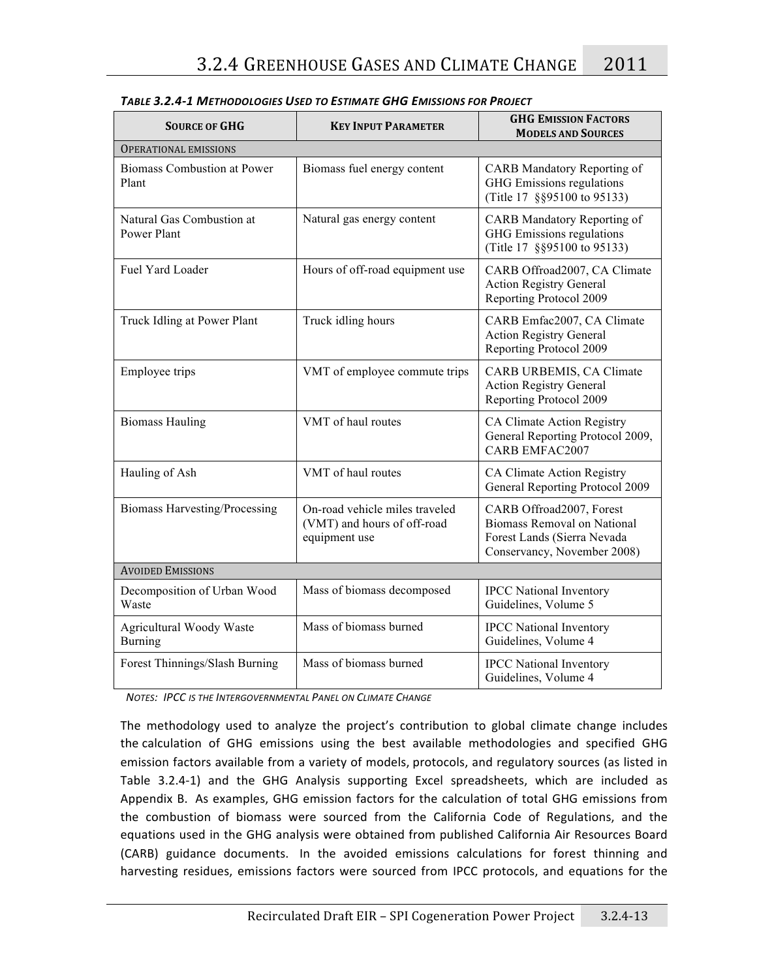| <b>SOURCE OF GHG</b>                            | <b>KEY INPUT PARAMETER</b>                                                     | <b>GHG EMISSION FACTORS</b><br><b>MODELS AND SOURCES</b>                                                                     |  |  |  |  |  |  |
|-------------------------------------------------|--------------------------------------------------------------------------------|------------------------------------------------------------------------------------------------------------------------------|--|--|--|--|--|--|
| <b>OPERATIONAL EMISSIONS</b>                    |                                                                                |                                                                                                                              |  |  |  |  |  |  |
| <b>Biomass Combustion at Power</b><br>Plant     | Biomass fuel energy content                                                    | <b>CARB</b> Mandatory Reporting of<br>GHG Emissions regulations<br>(Title 17 §§95100 to 95133)                               |  |  |  |  |  |  |
| Natural Gas Combustion at<br><b>Power Plant</b> | Natural gas energy content                                                     | CARB Mandatory Reporting of<br>GHG Emissions regulations<br>(Title 17 §§95100 to 95133)                                      |  |  |  |  |  |  |
| Fuel Yard Loader                                | Hours of off-road equipment use                                                | CARB Offroad2007, CA Climate<br><b>Action Registry General</b><br>Reporting Protocol 2009                                    |  |  |  |  |  |  |
| Truck Idling at Power Plant                     | Truck idling hours                                                             | CARB Emfac2007, CA Climate<br><b>Action Registry General</b><br>Reporting Protocol 2009                                      |  |  |  |  |  |  |
| Employee trips                                  | VMT of employee commute trips                                                  | CARB URBEMIS, CA Climate<br><b>Action Registry General</b><br>Reporting Protocol 2009                                        |  |  |  |  |  |  |
| <b>Biomass Hauling</b>                          | VMT of haul routes                                                             | CA Climate Action Registry<br>General Reporting Protocol 2009,<br><b>CARB EMFAC2007</b>                                      |  |  |  |  |  |  |
| Hauling of Ash                                  | VMT of haul routes                                                             | CA Climate Action Registry<br>General Reporting Protocol 2009                                                                |  |  |  |  |  |  |
| <b>Biomass Harvesting/Processing</b>            | On-road vehicle miles traveled<br>(VMT) and hours of off-road<br>equipment use | CARB Offroad2007, Forest<br><b>Biomass Removal on National</b><br>Forest Lands (Sierra Nevada<br>Conservancy, November 2008) |  |  |  |  |  |  |
| <b>AVOIDED EMISSIONS</b>                        |                                                                                |                                                                                                                              |  |  |  |  |  |  |
| Decomposition of Urban Wood<br>Waste            | Mass of biomass decomposed                                                     | <b>IPCC</b> National Inventory<br>Guidelines, Volume 5                                                                       |  |  |  |  |  |  |
| Agricultural Woody Waste<br><b>Burning</b>      | Mass of biomass burned                                                         | <b>IPCC</b> National Inventory<br>Guidelines, Volume 4                                                                       |  |  |  |  |  |  |
| Forest Thinnings/Slash Burning                  | Mass of biomass burned                                                         | <b>IPCC</b> National Inventory<br>Guidelines, Volume 4                                                                       |  |  |  |  |  |  |

*TABLE
3.2.4‐1
METHODOLOGIES
USED
TO
ESTIMATE
GHG
EMISSIONS
FOR
PROJECT*

**NOTES: IPCC IS THE INTERGOVERNMENTAL PANEL ON CLIMATE CHANGE** 

The methodology used to analyze the project's contribution to global climate change includes the calculation of GHG emissions using the best available methodologies and specified GHG emission factors available from a variety of models, protocols, and regulatory sources (as listed in Table 3.2.4-1) and the GHG Analysis supporting Excel spreadsheets, which are included as Appendix B. As examples, GHG emission factors for the calculation of total GHG emissions from the combustion of biomass were sourced from the California Code of Regulations, and the equations used in the GHG analysis were obtained from published California Air Resources Board (CARB)
 guidance
 documents.

In
 the
 avoided
 emissions
 calculations
 for
 forest
 thinning
 and harvesting residues, emissions factors were sourced from IPCC protocols, and equations for the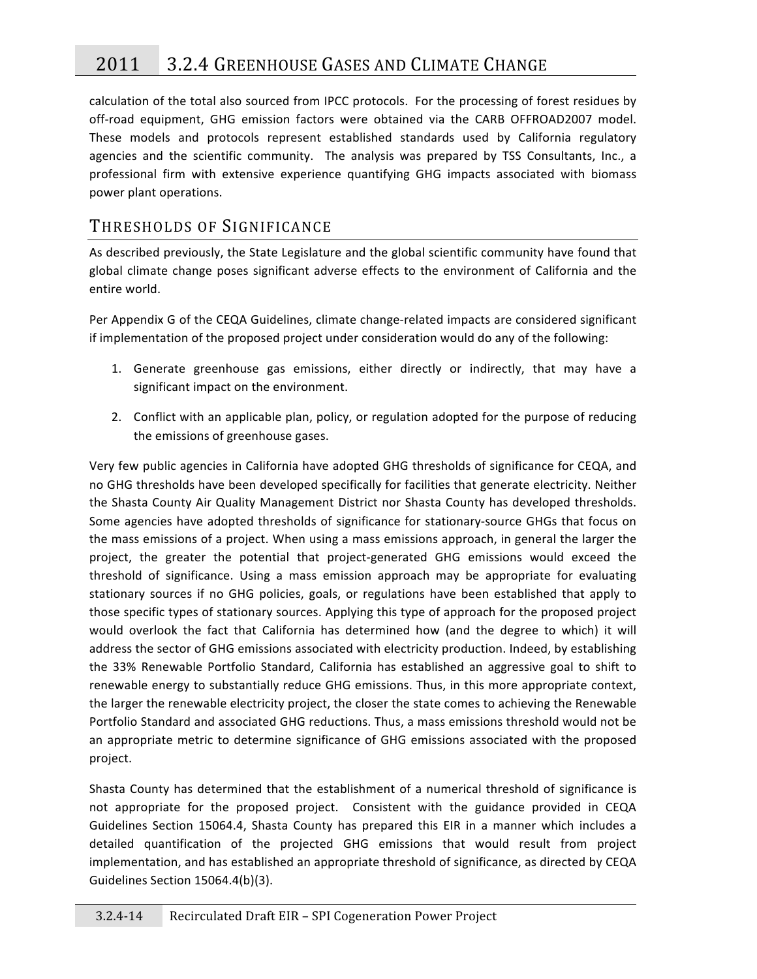# 2011 3.2.4
GREENHOUSE
GASES
AND
CLIMATE
CHANGE

calculation of the total also sourced from IPCC protocols. For the processing of forest residues by off-road equipment, GHG emission factors were obtained via the CARB OFFROAD2007 model. These models and protocols represent established standards used by California regulatory agencies and the scientific community. The analysis was prepared by TSS Consultants, Inc., a professional firm with extensive experience quantifying GHG impacts associated with biomass power
plant
operations.

# THRESHOLDS OF SIGNIFICANCE

As described previously, the State Legislature and the global scientific community have found that global climate change poses significant adverse effects to the environment of California and the entire
world.

Per Appendix G of the CEQA Guidelines, climate change-related impacts are considered significant if implementation of the proposed project under consideration would do any of the following:

- 1. Generate greenhouse gas emissions, either directly or indirectly, that may have a significant impact on the environment.
- 2. Conflict with an applicable plan, policy, or regulation adopted for the purpose of reducing the
emissions
of
greenhouse
gases.

Very few public agencies in California have adopted GHG thresholds of significance for CEQA, and no
GHG
thresholds
have
been
developed
specifically
for
facilities
that
generate
electricity.
Neither the
Shasta
County
Air
Quality
Management
District
nor
Shasta
County
has
developed
 thresholds. Some agencies have adopted thresholds of significance for stationary-source GHGs that focus on the mass emissions of a project. When using a mass emissions approach, in general the larger the project, the greater the potential that project-generated GHG emissions would exceed the threshold
 of
 significance.
 Using
 a
 mass
 emission
 approach
 may
 be
 appropriate
 for
 evaluating stationary sources if no GHG policies, goals, or regulations have been established that apply to those specific types of stationary sources. Applying this type of approach for the proposed project would overlook the fact that California has determined how (and the degree to which) it will address the sector of GHG emissions associated with electricity production. Indeed, by establishing the 33% Renewable Portfolio Standard, California has established an aggressive goal to shift to renewable
energy
to
substantially
reduce
GHG
emissions.
Thus,
in
this
more
appropriate
context, the larger the renewable electricity project, the closer the state comes to achieving the Renewable Portfolio Standard and associated GHG reductions. Thus, a mass emissions threshold would not be an appropriate metric to determine significance of GHG emissions associated with the proposed project.

Shasta County has determined that the establishment of a numerical threshold of significance is not appropriate for the proposed project. Consistent with the guidance provided in CEQA Guidelines Section 15064.4, Shasta County has prepared this EIR in a manner which includes a detailed quantification of the projected GHG emissions that would result from project implementation, and has established an appropriate threshold of significance, as directed by CEQA Guidelines
Section
15064.4(b)(3).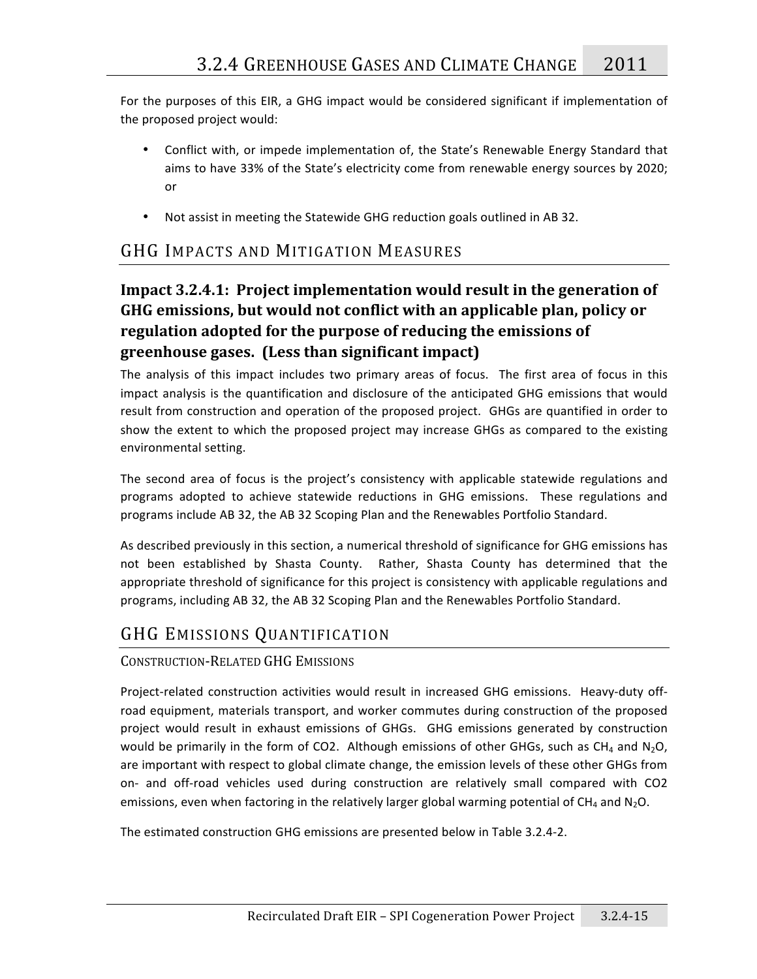For the purposes of this EIR, a GHG impact would be considered significant if implementation of the
proposed
project
would:

- Conflict with, or impede implementation of, the State's Renewable Energy Standard that aims
to
have
33%
of
the
State's
electricity
come
from
renewable
energy
sources
by
2020; or
- Not assist in meeting the Statewide GHG reduction goals outlined in AB 32.

# GHG IMPACTS AND MITIGATION MEASURES

# Impact 3.2.4.1: Project implementation would result in the generation of **GHG
emissions,
but
would
not
conflict
with
an
applicable
plan,
policy
or regulation
adopted
for
the
purpose
of
reducing
the
emissions
of greenhouse
gases.

(Less
than
significant
impact)**

The analysis of this impact includes two primary areas of focus. The first area of focus in this impact analysis is the quantification and disclosure of the anticipated GHG emissions that would result from construction and operation of the proposed project. GHGs are quantified in order to show the extent to which the proposed project may increase GHGs as compared to the existing environmental
setting.

The second area of focus is the project's consistency with applicable statewide regulations and programs adopted to achieve statewide reductions in GHG emissions. These regulations and programs
include
AB
32,
the
AB
32
Scoping
Plan
and
the
Renewables
Portfolio
Standard.

As
described
previously
in
this
section,
a
numerical
threshold
of
significance
for
GHG
emissions
has not been established by Shasta County. Rather, Shasta County has determined that the appropriate threshold of significance for this project is consistency with applicable regulations and programs,
including
AB
32,
the
AB
32
Scoping
Plan
and
the
Renewables
Portfolio
Standard.

# GHG EMISSIONS QUANTIFICATION

### CONSTRUCTION‐RELATED
GHG
EMISSIONS

Project-related construction activities would result in increased GHG emissions. Heavy-duty offroad equipment, materials transport, and worker commutes during construction of the proposed project would result in exhaust emissions of GHGs. GHG emissions generated by construction would be primarily in the form of CO2. Although emissions of other GHGs, such as CH<sub>4</sub> and N<sub>2</sub>O, are important with respect to global climate change, the emission levels of these other GHGs from on- and off-road vehicles used during construction are relatively small compared with CO2 emissions, even when factoring in the relatively larger global warming potential of CH<sub>4</sub> and N<sub>2</sub>O.

The
estimated
construction
GHG
emissions
are
presented
below
in
Table
3.2.4‐2.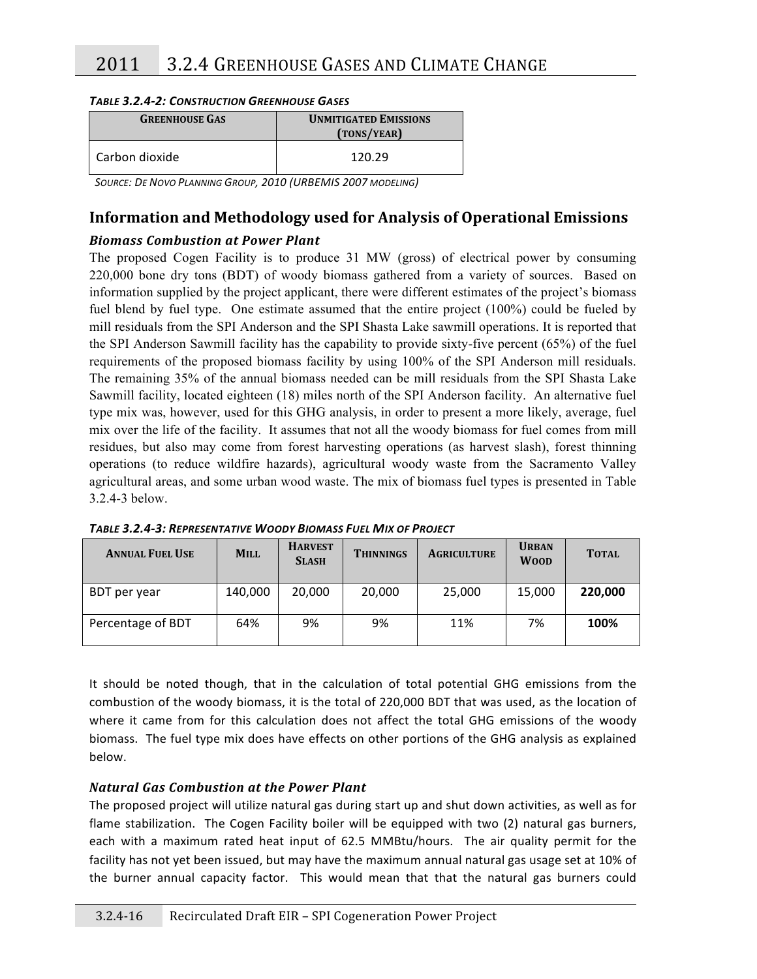### *TABLE
3.2.4‐2:
CONSTRUCTION
GREENHOUSE
GASES*

| <b>GREENHOUSE GAS</b> | <b>UNMITIGATED EMISSIONS</b><br>(TONS/YEAR) |
|-----------------------|---------------------------------------------|
| l Carbon dioxide      | 120.29                                      |

SOURCE: DE NOVO PLANNING GROUP, 2010 (URBEMIS 2007 MODELING)

# **Information
and
Methodology
used
for
Analysis
of
Operational
Emissions**

### *Biomass
Combustion
at
Power
Plant*

The proposed Cogen Facility is to produce 31 MW (gross) of electrical power by consuming 220,000 bone dry tons (BDT) of woody biomass gathered from a variety of sources. Based on information supplied by the project applicant, there were different estimates of the project's biomass fuel blend by fuel type. One estimate assumed that the entire project (100%) could be fueled by mill residuals from the SPI Anderson and the SPI Shasta Lake sawmill operations. It is reported that the SPI Anderson Sawmill facility has the capability to provide sixty-five percent (65%) of the fuel requirements of the proposed biomass facility by using 100% of the SPI Anderson mill residuals. The remaining 35% of the annual biomass needed can be mill residuals from the SPI Shasta Lake Sawmill facility, located eighteen (18) miles north of the SPI Anderson facility. An alternative fuel type mix was, however, used for this GHG analysis, in order to present a more likely, average, fuel mix over the life of the facility. It assumes that not all the woody biomass for fuel comes from mill residues, but also may come from forest harvesting operations (as harvest slash), forest thinning operations (to reduce wildfire hazards), agricultural woody waste from the Sacramento Valley agricultural areas, and some urban wood waste. The mix of biomass fuel types is presented in Table 3.2.4-3 below.

| <b>ANNUAL FUEL USE</b> | <b>MILL</b> | <b>HARVEST</b><br><b>SLASH</b> | <b>THINNINGS</b> | <b>AGRICULTURE</b> | <b>URBAN</b><br><b>WOOD</b> | <b>TOTAL</b> |
|------------------------|-------------|--------------------------------|------------------|--------------------|-----------------------------|--------------|
| BDT per year           | 140,000     | 20.000                         | 20,000           | 25,000             | 15,000                      | 220,000      |
| Percentage of BDT      | 64%         | 9%                             | 9%               | 11%                | 7%                          | 100%         |

*TABLE
3.2.4‐3: REPRESENTATIVE
WOODY
BIOMASS
FUEL
MIX
OF
PROJECT*

It should be noted though, that in the calculation of total potential GHG emissions from the combustion of the woody biomass, it is the total of 220,000 BDT that was used, as the location of where it came from for this calculation does not affect the total GHG emissions of the woody biomass.

The
fuel
type
mix
does
have
effects
on
other
portions
of
the
GHG
analysis
as
explained below.

### *Natural
Gas
Combustion
at
the
Power
Plant*

The proposed project will utilize natural gas during start up and shut down activities, as well as for flame stabilization. The Cogen Facility boiler will be equipped with two (2) natural gas burners, each with a maximum rated heat input of 62.5 MMBtu/hours. The air quality permit for the facility has not yet been issued, but may have the maximum annual natural gas usage set at 10% of the burner annual capacity factor. This would mean that that the natural gas burners could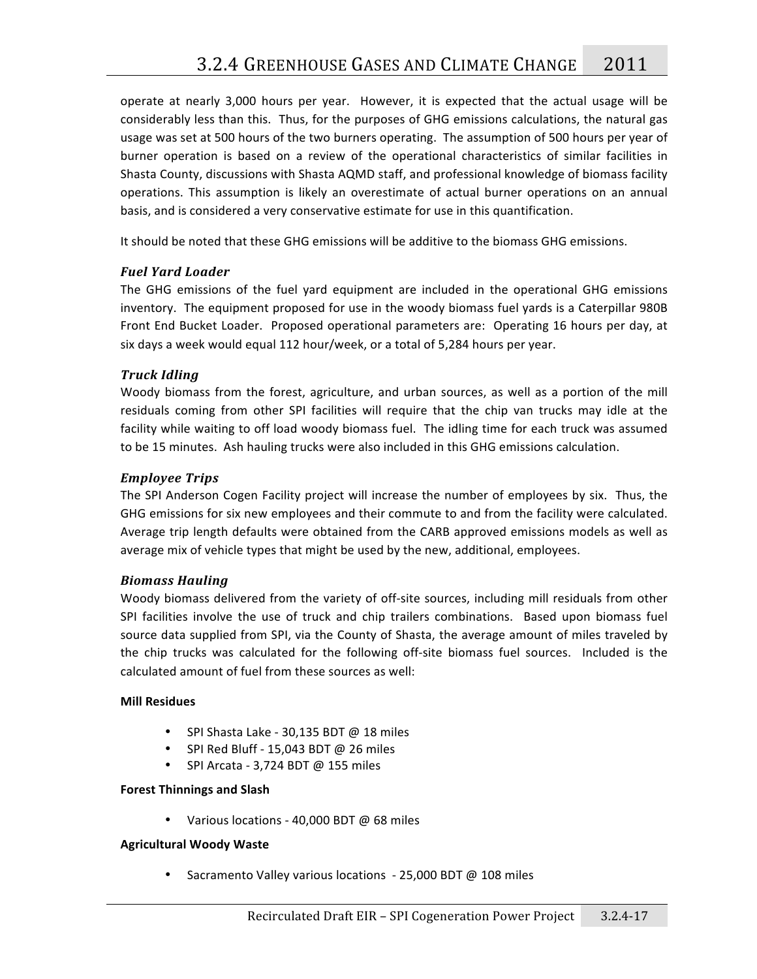operate at nearly 3,000 hours per year. However, it is expected that the actual usage will be considerably
less
than
this.

Thus,
for
the
purposes
of
GHG
emissions
calculations,
the
natural
gas usage was set at 500 hours of the two burners operating. The assumption of 500 hours per year of burner operation is based on a review of the operational characteristics of similar facilities in Shasta
County,
discussions
with
Shasta
AQMD
staff,
and
professional
knowledge
of
biomass
facility operations. This assumption is likely an overestimate of actual burner operations on an annual basis,
and
is
considered
a
very
conservative
estimate
for
use
in
this
quantification.

It should be noted that these GHG emissions will be additive to the biomass GHG emissions.

### *Fuel
Yard
Loader*

The GHG emissions of the fuel yard equipment are included in the operational GHG emissions inventory. The equipment proposed for use in the woody biomass fuel yards is a Caterpillar 980B Front End Bucket Loader. Proposed operational parameters are: Operating 16 hours per day, at six days a week would equal 112 hour/week, or a total of 5,284 hours per year.

### *Truck
Idling*

Woody biomass from the forest, agriculture, and urban sources, as well as a portion of the mill residuals coming from other SPI facilities will require that the chip van trucks may idle at the facility while waiting to off load woody biomass fuel. The idling time for each truck was assumed to be 15 minutes. Ash hauling trucks were also included in this GHG emissions calculation.

### *Employee
Trips*

The SPI Anderson Cogen Facility project will increase the number of employees by six. Thus, the GHG emissions for six new employees and their commute to and from the facility were calculated. Average
trip
length
defaults
were
obtained
from
the
CARB
approved
emissions
models
as
well
as average mix of vehicle types that might be used by the new, additional, employees.

### *Biomass
Hauling*

Woody biomass delivered from the variety of off-site sources, including mill residuals from other SPI facilities involve the use of truck and chip trailers combinations. Based upon biomass fuel source data supplied from SPI, via the County of Shasta, the average amount of miles traveled by the chip trucks was calculated for the following off-site biomass fuel sources. Included is the calculated
amount
of
fuel
from
these
sources
as
well:

### **Mill
Residues**

- SPI Shasta Lake 30,135 BDT @ 18 miles
- SPI Red Bluff 15,043 BDT @ 26 miles
- SPI Arcata 3,724 BDT  $@$  155 miles

### **Forest
Thinnings
and
Slash**

• Various locations - 40,000 BDT @ 68 miles

### **Agricultural
Woody
Waste**

• Sacramento Valley various locations - 25,000 BDT @ 108 miles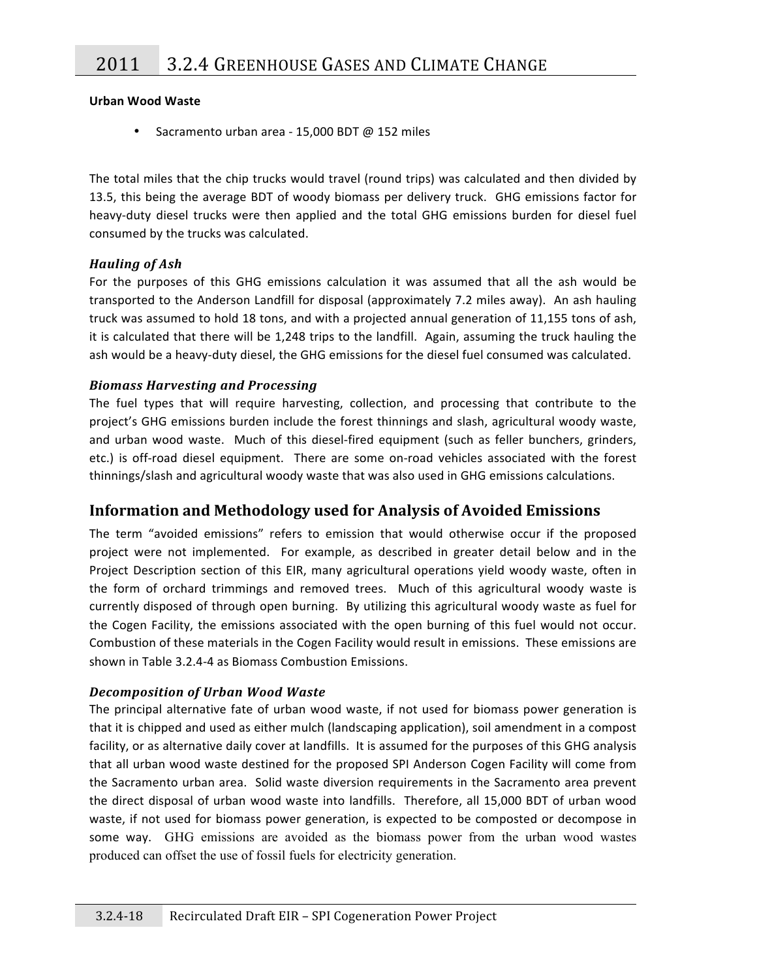### **Urban
Wood
Waste**

• Sacramento urban area - 15,000 BDT @ 152 miles

The total miles that the chip trucks would travel (round trips) was calculated and then divided by 13.5, this being the average BDT of woody biomass per delivery truck. GHG emissions factor for heavy-duty diesel trucks were then applied and the total GHG emissions burden for diesel fuel consumed
by
the
trucks
was
calculated.

### *Hauling
of
Ash*

For the purposes of this GHG emissions calculation it was assumed that all the ash would be transported to the Anderson Landfill for disposal (approximately 7.2 miles away). An ash hauling truck was assumed to hold 18 tons, and with a projected annual generation of 11,155 tons of ash, it is calculated that there will be 1,248 trips to the landfill. Again, assuming the truck hauling the ash would be a heavy-duty diesel, the GHG emissions for the diesel fuel consumed was calculated.

### *Biomass
Harvesting
and
Processing*

The fuel types that will require harvesting, collection, and processing that contribute to the project's GHG emissions burden include the forest thinnings and slash, agricultural woody waste, and urban wood waste. Much of this diesel-fired equipment (such as feller bunchers, grinders, etc.) is off-road diesel equipment. There are some on-road vehicles associated with the forest thinnings/slash
and
agricultural
woody
waste
that
was
also
used
in
GHG
emissions
calculations.

# **Information
and
Methodology
used
for
Analysis
of
Avoided
Emissions**

The term "avoided emissions" refers to emission that would otherwise occur if the proposed project were not implemented. For example, as described in greater detail below and in the Project Description section of this EIR, many agricultural operations yield woody waste, often in the form of orchard trimmings and removed trees. Much of this agricultural woody waste is currently disposed of through open burning. By utilizing this agricultural woody waste as fuel for the Cogen Facility, the emissions associated with the open burning of this fuel would not occur. Combustion of these materials in the Cogen Facility would result in emissions. These emissions are shown
in
Table
3.2.4‐4
as
Biomass
Combustion
Emissions.

### *Decomposition
of
Urban
Wood
Waste*

The principal alternative fate of urban wood waste, if not used for biomass power generation is that it is chipped and used as either mulch (landscaping application), soil amendment in a compost facility, or as alternative daily cover at landfills. It is assumed for the purposes of this GHG analysis that all urban wood waste destined for the proposed SPI Anderson Cogen Facility will come from the
Sacramento
urban
area.

Solid
waste
diversion
requirements
in
 the
Sacramento
area
prevent the direct disposal of urban wood waste into landfills. Therefore, all 15,000 BDT of urban wood waste, if not used for biomass power generation, is expected to be composted or decompose in some
 way.
 GHG emissions are avoided as the biomass power from the urban wood wastes produced can offset the use of fossil fuels for electricity generation.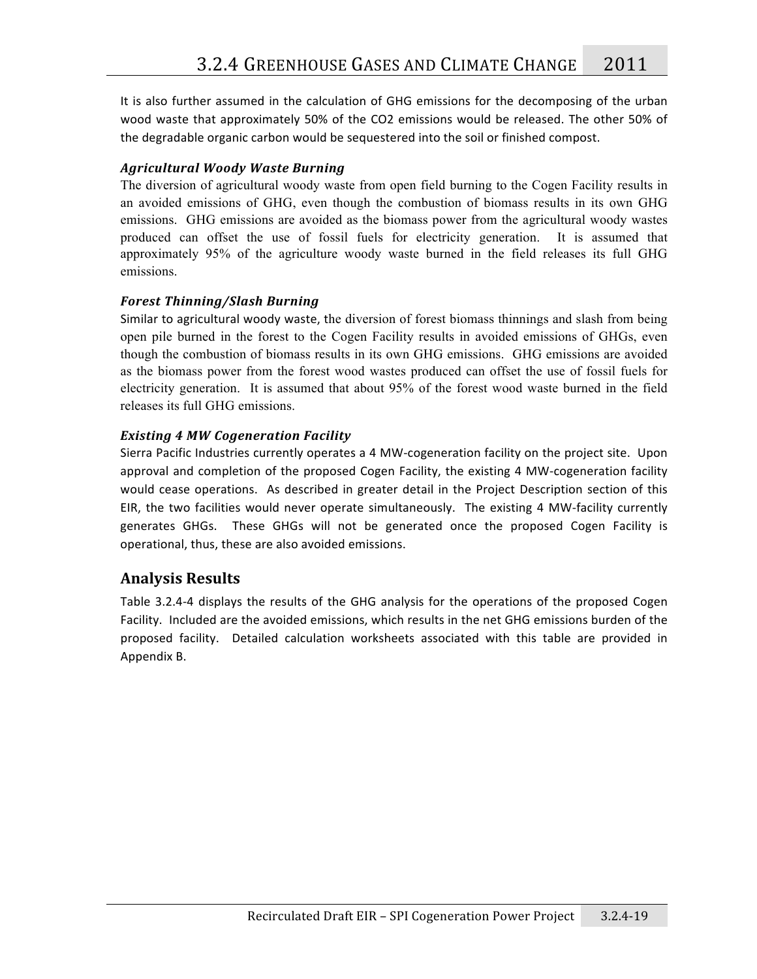It is also further assumed in the calculation of GHG emissions for the decomposing of the urban wood waste that approximately 50% of the CO2 emissions would be released. The other 50% of the
degradable
organic
carbon
would
be
sequestered
into
the
soil
or
finished
compost.

### *Agricultural
Woody
Waste
Burning*

The diversion of agricultural woody waste from open field burning to the Cogen Facility results in an avoided emissions of GHG, even though the combustion of biomass results in its own GHG emissions. GHG emissions are avoided as the biomass power from the agricultural woody wastes produced can offset the use of fossil fuels for electricity generation. It is assumed that approximately 95% of the agriculture woody waste burned in the field releases its full GHG emissions.

### *Forest
Thinning/Slash
Burning*

Similar
to
agricultural
woody
waste,
the diversion of forest biomass thinnings and slash from being open pile burned in the forest to the Cogen Facility results in avoided emissions of GHGs, even though the combustion of biomass results in its own GHG emissions. GHG emissions are avoided as the biomass power from the forest wood wastes produced can offset the use of fossil fuels for electricity generation. It is assumed that about 95% of the forest wood waste burned in the field releases its full GHG emissions.

### *Existing
4
MW
Cogeneration
Facility*

Sierra Pacific Industries currently operates a 4 MW-cogeneration facility on the project site. Upon approval and completion of the proposed Cogen Facility, the existing 4 MW-cogeneration facility would cease operations. As described in greater detail in the Project Description section of this EIR, the two facilities would never operate simultaneously. The existing 4 MW-facility currently generates GHGs. These GHGs will not be generated once the proposed Cogen Facility is operational,
thus,
these
are
also
avoided
emissions.

# **Analysis
Results**

Table 3.2.4-4 displays the results of the GHG analysis for the operations of the proposed Cogen Facility. Included are the avoided emissions, which results in the net GHG emissions burden of the proposed facility. Detailed calculation worksheets associated with this table are provided in Appendix
B.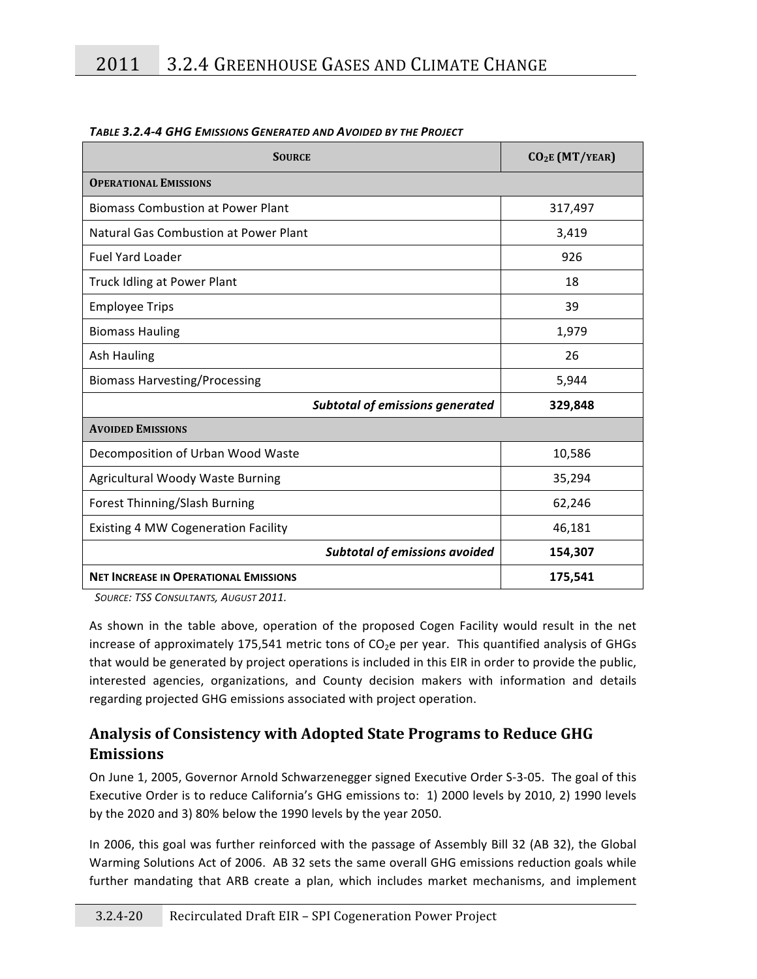| <b>SOURCE</b>                                | CO <sub>2</sub> E (MT/YEAR) |  |  |  |  |
|----------------------------------------------|-----------------------------|--|--|--|--|
| <b>OPERATIONAL EMISSIONS</b>                 |                             |  |  |  |  |
| <b>Biomass Combustion at Power Plant</b>     | 317,497                     |  |  |  |  |
| Natural Gas Combustion at Power Plant        | 3,419                       |  |  |  |  |
| <b>Fuel Yard Loader</b>                      | 926                         |  |  |  |  |
| Truck Idling at Power Plant                  | 18                          |  |  |  |  |
| <b>Employee Trips</b>                        | 39                          |  |  |  |  |
| <b>Biomass Hauling</b>                       | 1,979                       |  |  |  |  |
| Ash Hauling                                  | 26                          |  |  |  |  |
| <b>Biomass Harvesting/Processing</b>         | 5,944                       |  |  |  |  |
| <b>Subtotal of emissions generated</b>       | 329,848                     |  |  |  |  |
| <b>AVOIDED EMISSIONS</b>                     |                             |  |  |  |  |
| Decomposition of Urban Wood Waste            | 10,586                      |  |  |  |  |
| Agricultural Woody Waste Burning             | 35,294                      |  |  |  |  |
| Forest Thinning/Slash Burning                | 62,246                      |  |  |  |  |
| <b>Existing 4 MW Cogeneration Facility</b>   | 46,181                      |  |  |  |  |
| <b>Subtotal of emissions avoided</b>         | 154,307                     |  |  |  |  |
| <b>NET INCREASE IN OPERATIONAL EMISSIONS</b> | 175,541                     |  |  |  |  |

#### *TABLE
3.2.4‐4
GHG
EMISSIONS
GENERATED
AND
AVOIDED
BY
THE
PROJECT*

SOURCE: TSS CONSULTANTS, AUGUST 2011.

As shown in the table above, operation of the proposed Cogen Facility would result in the net increase of approximately 175,541 metric tons of CO<sub>2</sub>e per year. This quantified analysis of GHGs that would be generated by project operations is included in this EIR in order to provide the public, interested agencies, organizations, and County decision makers with information and details regarding
projected
GHG
emissions
associated
with
project
operation.

# **Analysis
of
Consistency
with
Adopted
State
Programs
to
Reduce
GHG Emissions**

On June 1, 2005, Governor Arnold Schwarzenegger signed Executive Order S-3-05. The goal of this Executive Order is to reduce California's GHG emissions to: 1) 2000 levels by 2010, 2) 1990 levels by
the
2020
and
3)
80%
below
the
1990
levels
by
the
year
2050.

In 2006, this goal was further reinforced with the passage of Assembly Bill 32 (AB 32), the Global Warming Solutions Act of 2006. AB 32 sets the same overall GHG emissions reduction goals while further mandating that ARB create a plan, which includes market mechanisms, and implement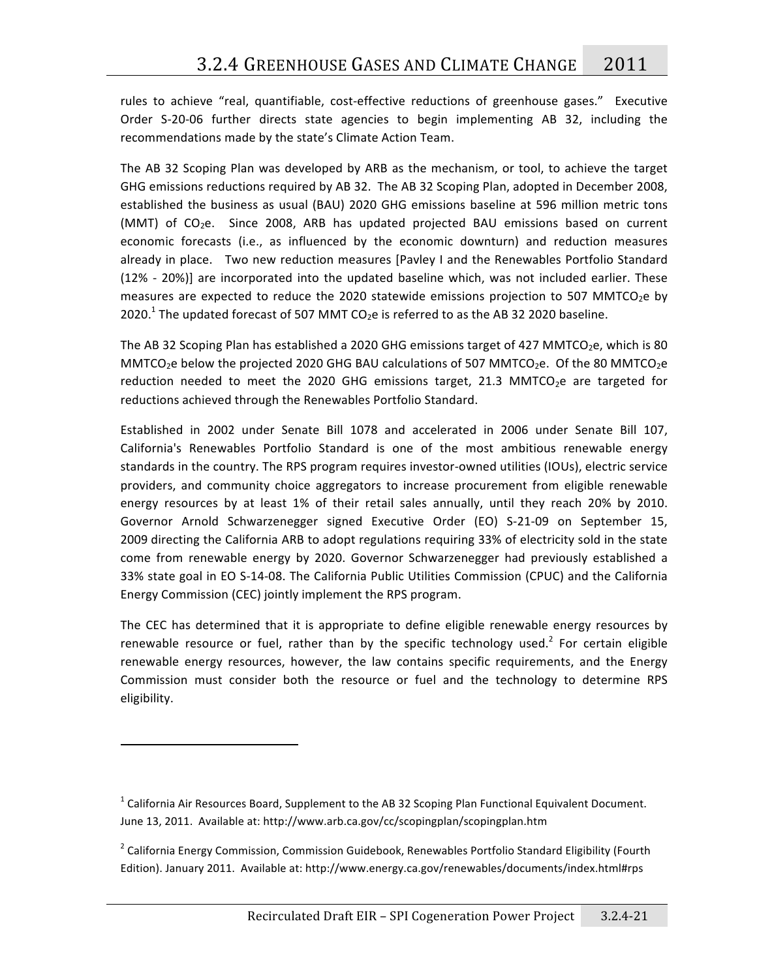rules to achieve "real, quantifiable, cost-effective reductions of greenhouse gases." Executive Order S-20-06 further directs state agencies to begin implementing AB 32, including the recommendations
made
by
the
state's
Climate
Action
Team.

The AB 32 Scoping Plan was developed by ARB as the mechanism, or tool, to achieve the target GHG emissions reductions required by AB 32. The AB 32 Scoping Plan, adopted in December 2008, established the business as usual (BAU) 2020 GHG emissions baseline at 596 million metric tons (MMT) of CO<sub>2</sub>e. Since 2008, ARB has updated projected BAU emissions based on current economic forecasts (i.e., as influenced by the economic downturn) and reduction measures already in place. Two new reduction measures [Pavley I and the Renewables Portfolio Standard (12%
 ‐
 20%)]
 are
 incorporated
 into
 the
 updated
 baseline
 which,
 was
 not
 included
earlier.
 These measures are expected to reduce the 2020 statewide emissions projection to 507 MMTCO<sub>2</sub>e by 2020.<sup>1</sup> The updated forecast of 507 MMT CO<sub>2</sub>e is referred to as the AB 32 2020 baseline.

The AB 32 Scoping Plan has established a 2020 GHG emissions target of 427 MMTCO<sub>2</sub>e, which is 80 MMTCO<sub>2</sub>e below the projected 2020 GHG BAU calculations of 507 MMTCO<sub>2</sub>e. Of the 80 MMTCO<sub>2</sub>e reduction needed to meet the 2020 GHG emissions target, 21.3 MMTCO<sub>2</sub>e are targeted for reductions
achieved
through
the
Renewables
Portfolio
Standard.

Established in 2002 under Senate Bill 1078 and accelerated in 2006 under Senate Bill 107. California's Renewables Portfolio Standard is one of the most ambitious renewable energy standards in the country. The RPS program requires investor-owned utilities (IOUs), electric service providers, and community choice aggregators to increase procurement from eligible renewable energy resources by at least 1% of their retail sales annually, until they reach 20% by 2010. Governor Arnold Schwarzenegger signed Executive Order (EO) S-21-09 on September 15, 2009 directing the California ARB to adopt regulations requiring 33% of electricity sold in the state come from renewable energy by 2020. Governor Schwarzenegger had previously established a 33%
state
goal
in
EO
S‐14‐08.
The
California
Public
Utilities
Commission
(CPUC)
and
the
California Energy
Commission
(CEC)
jointly
implement
the
RPS
program.

The CEC has determined that it is appropriate to define eligible renewable energy resources by renewable resource or fuel, rather than by the specific technology used.<sup>2</sup> For certain eligible renewable energy resources, however, the law contains specific requirements, and the Energy Commission must consider both the resource or fuel and the technology to determine RPS eligibility.

<sup>&</sup>lt;sup>1</sup> California Air Resources Board, Supplement to the AB 32 Scoping Plan Functional Equivalent Document. June 13, 2011. Available at: http://www.arb.ca.gov/cc/scopingplan/scopingplan.htm

<sup>&</sup>lt;sup>2</sup> California Energy Commission, Commission Guidebook, Renewables Portfolio Standard Eligibility (Fourth Edition).
January
2011.

Available
at:
http://www.energy.ca.gov/renewables/documents/index.html#rps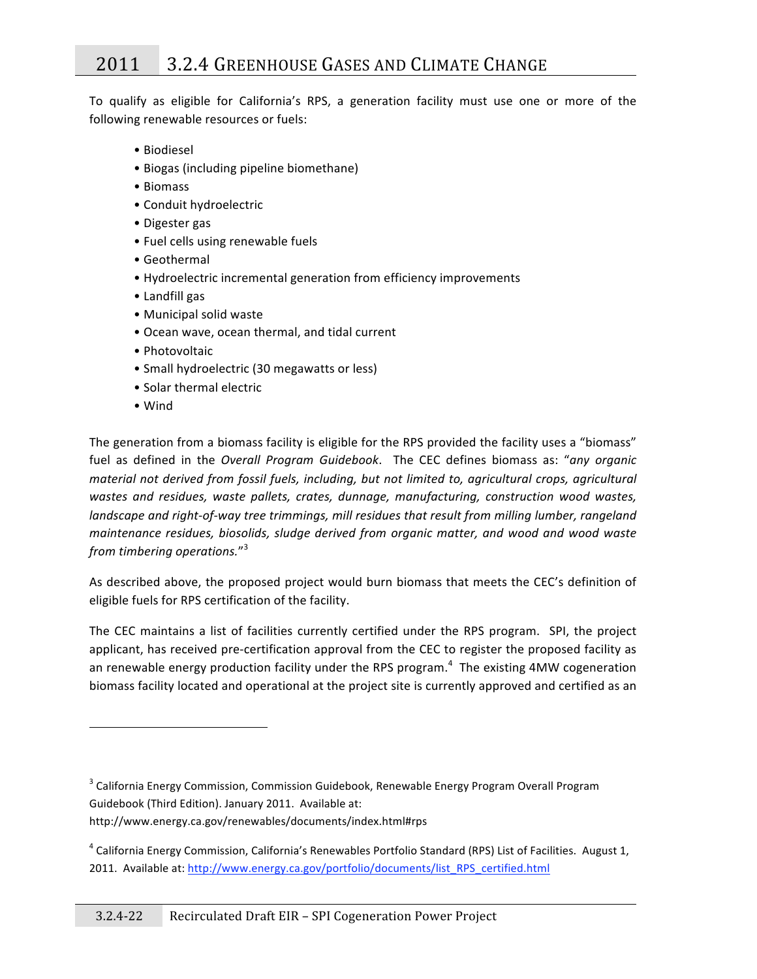To qualify as eligible for California's RPS, a generation facility must use one or more of the following
renewable
resources
or
fuels:

- •
Biodiesel
- •
Biogas
(including
pipeline
biomethane)
- •
Biomass
- •
Conduit
hydroelectric
- •
Digester
gas
- Fuel cells using renewable fuels
- •
Geothermal
- •
Hydroelectric
incremental
generation
from
efficiency
improvements
- •
Landfill
gas
- •
Municipal
solid
waste
- •
Ocean
wave,
ocean
thermal,
and
tidal
current
- •
Photovoltaic

- Small hydroelectric (30 megawatts or less)
- Solar thermal electric
- •
Wind

The generation from a biomass facility is eligible for the RPS provided the facility uses a "biomass" fuel as defined in the *Overall Program Guidebook*. The CEC defines biomass as: "any organic material not derived from fossil fuels, including, but not limited to, agricultural crops, agricultural wastes and residues, waste pallets, crates, dunnage, manufacturing, construction wood wastes, landscape and right-of-way tree trimmings, mill residues that result from milling lumber, rangeland maintenance residues, biosolids, sludge derived from organic matter, and wood and wood waste *from
timbering
operations.*" 3

As described above, the proposed project would burn biomass that meets the CEC's definition of eligible
fuels
for
RPS
certification
of
the
facility.

The CEC maintains a list of facilities currently certified under the RPS program. SPI, the project applicant, has received pre-certification approval from the CEC to register the proposed facility as an renewable energy production facility under the RPS program.<sup>4</sup> The existing 4MW cogeneration biomass facility located and operational at the project site is currently approved and certified as an

http://www.energy.ca.gov/renewables/documents/index.html#rps

<sup>&</sup>lt;sup>3</sup> California Energy Commission, Commission Guidebook, Renewable Energy Program Overall Program Guidebook
(Third
Edition).
January
2011.

Available
at:

<sup>&</sup>lt;sup>4</sup> California Energy Commission, California's Renewables Portfolio Standard (RPS) List of Facilities. August 1, 2011. Available at: http://www.energy.ca.gov/portfolio/documents/list\_RPS\_certified.html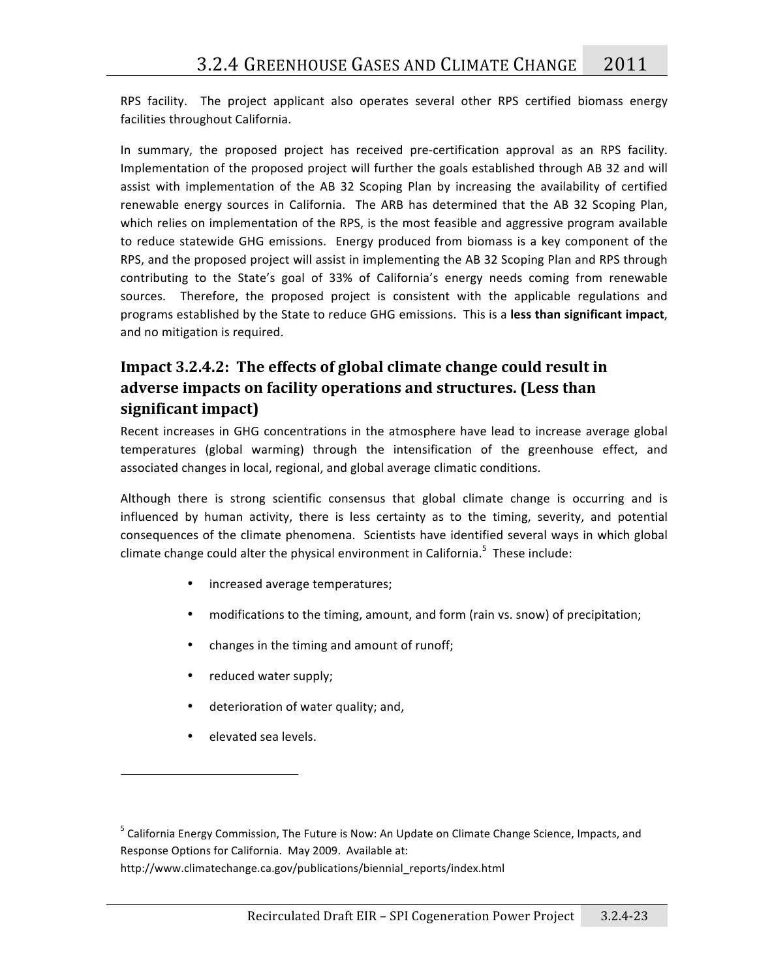RPS facility. The project applicant also operates several other RPS certified biomass energy facilities
throughout
California.

In summary, the proposed project has received pre-certification approval as an RPS facility. Implementation of the proposed project will further the goals established through AB 32 and will assist with implementation of the AB 32 Scoping Plan by increasing the availability of certified renewable energy sources in California. The ARB has determined that the AB 32 Scoping Plan, which relies on implementation of the RPS, is the most feasible and aggressive program available to reduce statewide GHG emissions. Energy produced from biomass is a key component of the RPS, and the proposed project will assist in implementing the AB 32 Scoping Plan and RPS through contributing to the State's goal of 33% of California's energy needs coming from renewable sources. Therefore, the proposed project is consistent with the applicable regulations and programs established by the State to reduce GHG emissions. This is a less than significant impact, and
no
mitigation
is
required.

# Impact 3.2.4.2: The effects of global climate change could result in **adverse
impacts
on
facility
operations
and
structures.
(Less
than significant
impact)**

Recent increases in GHG concentrations in the atmosphere have lead to increase average global temperatures (global warming) through the intensification of the greenhouse effect, and associated
changes
in
local,
regional,
and
global
average
climatic
conditions.

Although there is strong scientific consensus that global climate change is occurring and is influenced by human activity, there is less certainty as to the timing, severity, and potential consequences
of
the
climate
phenomena.

Scientists
have
identified
several
ways
in
which
global climate change could alter the physical environment in California.<sup>5</sup> These include:

- increased
average
temperatures;
- modifications to the timing, amount, and form (rain vs. snow) of precipitation;
- changes in the timing and amount of runoff;
- reduced
water
supply;
- deterioration of water quality; and,
- elevated
sea
levels.

<sup>&</sup>lt;sup>5</sup> California Energy Commission, The Future is Now: An Update on Climate Change Science, Impacts, and Response
Options
for
California.

May
2009.

Available
at:

http://www.climatechange.ca.gov/publications/biennial\_reports/index.html